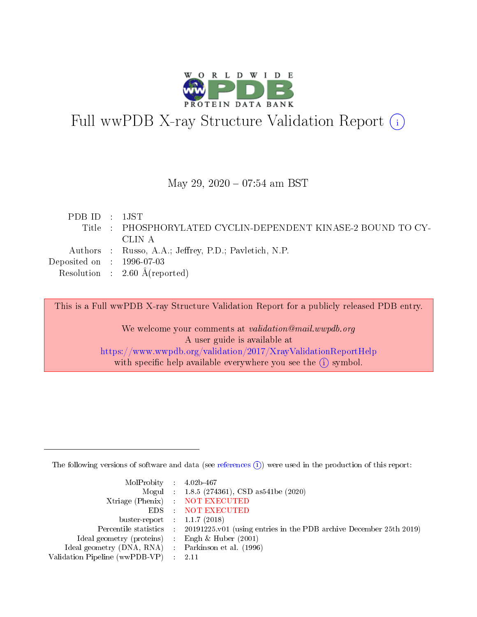

## Full wwPDB X-ray Structure Validation Report (i)

#### May 29, 2020 - 07:54 am BST

| PDB ID : $1$ JST                                              |  |
|---------------------------------------------------------------|--|
| Title : PHOSPHORYLATED CYCLIN-DEPENDENT KINASE-2 BOUND TO CY- |  |
| -CLIN A                                                       |  |
| Authors : Russo, A.A.; Jeffrey, P.D.; Pavletich, N.P.         |  |
| Deposited on $\,$ : 1996-07-03                                |  |
| Resolution : $2.60 \text{ Å}$ (reported)                      |  |

This is a Full wwPDB X-ray Structure Validation Report for a publicly released PDB entry.

We welcome your comments at validation@mail.wwpdb.org A user guide is available at <https://www.wwpdb.org/validation/2017/XrayValidationReportHelp> with specific help available everywhere you see the  $(i)$  symbol.

The following versions of software and data (see [references](https://www.wwpdb.org/validation/2017/XrayValidationReportHelp#references)  $(i)$ ) were used in the production of this report:

| MolProbity : $4.02b-467$                            |                                                                                            |
|-----------------------------------------------------|--------------------------------------------------------------------------------------------|
|                                                     | Mogul : $1.8.5$ (274361), CSD as 541be (2020)                                              |
|                                                     | Xtriage (Phenix) NOT EXECUTED                                                              |
|                                                     | EDS : NOT EXECUTED                                                                         |
| buster-report : $1.1.7(2018)$                       |                                                                                            |
|                                                     | Percentile statistics : 20191225.v01 (using entries in the PDB archive December 25th 2019) |
| Ideal geometry (proteins) : Engh $\&$ Huber (2001)  |                                                                                            |
| Ideal geometry (DNA, RNA) : Parkinson et al. (1996) |                                                                                            |
| Validation Pipeline (wwPDB-VP) : 2.11               |                                                                                            |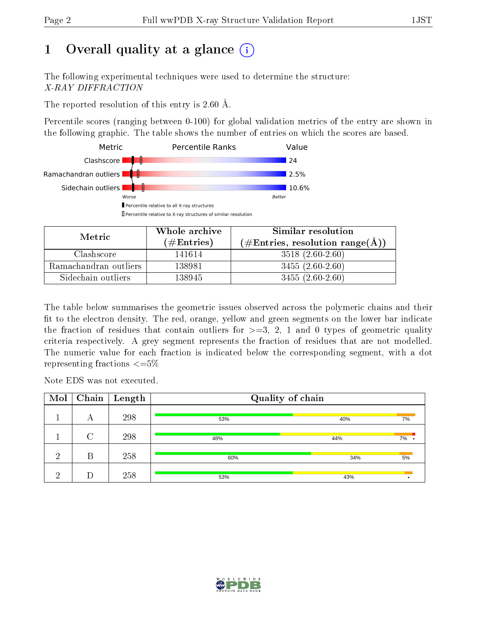## 1 [O](https://www.wwpdb.org/validation/2017/XrayValidationReportHelp#overall_quality)verall quality at a glance  $(i)$

The following experimental techniques were used to determine the structure: X-RAY DIFFRACTION

The reported resolution of this entry is 2.60 Å.

Percentile scores (ranging between 0-100) for global validation metrics of the entry are shown in the following graphic. The table shows the number of entries on which the scores are based.



| Metric                | Whole archive       | Similar resolution                                 |
|-----------------------|---------------------|----------------------------------------------------|
|                       | (# $\rm{Entries}$ ) | $(\text{\#Entries, resolution range}(\text{\AA}))$ |
| Clashscore            | 141614              | $3518(2.60-2.60)$                                  |
| Ramachandran outliers | 138981              | $3455(2.60-2.60)$                                  |
| Sidechain outliers    | 138945              | $3455(2.60-2.60)$                                  |

The table below summarises the geometric issues observed across the polymeric chains and their fit to the electron density. The red, orange, yellow and green segments on the lower bar indicate the fraction of residues that contain outliers for  $\geq=3$ , 2, 1 and 0 types of geometric quality criteria respectively. A grey segment represents the fraction of residues that are not modelled. The numeric value for each fraction is indicated below the corresponding segment, with a dot representing fractions  $\epsilon = 5\%$ 

Note EDS was not executed.

| Mol | Chain  | $\vert$ Length | Quality of chain |     |      |  |  |
|-----|--------|----------------|------------------|-----|------|--|--|
|     | А      | 298            | 53%              | 40% | 7%   |  |  |
|     | $\cap$ | 298            | 48%              | 44% | 7% . |  |  |
| ച   | В      | 258            | 60%              | 34% | 5%   |  |  |
| ച   |        | 258            | 53%              | 43% |      |  |  |

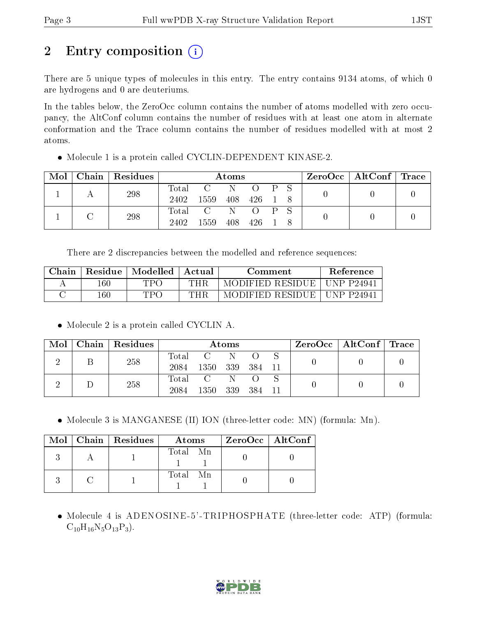## 2 Entry composition  $\left( \cdot \right)$

There are 5 unique types of molecules in this entry. The entry contains 9134 atoms, of which 0 are hydrogens and 0 are deuteriums.

In the tables below, the ZeroOcc column contains the number of atoms modelled with zero occupancy, the AltConf column contains the number of residues with at least one atom in alternate conformation and the Trace column contains the number of residues modelled with at most 2 atoms.

Molecule 1 is a protein called CYCLIN-DEPENDENT KINASE-2.

| Mol | Chain   Residues | Atoms            |                |     |             |  | $\text{ZeroOcc}$   AltConf   Trace |  |  |
|-----|------------------|------------------|----------------|-----|-------------|--|------------------------------------|--|--|
|     | 298              | Total            | <sup>-</sup> C | -N  | $O$ $P$ $S$ |  |                                    |  |  |
|     |                  | 2402             | 1559           | 408 | 426         |  |                                    |  |  |
|     | 298              | $\mathrm{Total}$ | $\overline{C}$ | -N  |             |  |                                    |  |  |
|     |                  | 2402             | 1559           | 408 | 426.        |  |                                    |  |  |

There are 2 discrepancies between the modelled and reference sequences:

| Chain | Residue | Modelled | Actual | Comment           | <b>Reference</b> |
|-------|---------|----------|--------|-------------------|------------------|
|       | $160\,$ | TPA      | THR    | MODIFIED RESIDUE  | UNP P24941       |
|       | $160\,$ | TPO      | THR    | MODIFIED RESIDUE. | UNP P24941       |

• Molecule 2 is a protein called CYCLIN A.

| Mol | Chain Residues | Atoms               |                  |     |      | $\text{ZeroOcc} \mid \text{AltConf} \mid \text{Trace}$ |  |  |
|-----|----------------|---------------------|------------------|-----|------|--------------------------------------------------------|--|--|
|     | 258            | $\rm Total$<br>2084 | 1350             | 339 | -384 |                                                        |  |  |
|     | 258            | Total<br>2084       | $\Gamma$<br>1350 | 339 | -384 |                                                        |  |  |

• Molecule 3 is MANGANESE (II) ION (three-letter code: MN) (formula: Mn).

|  | Mol   Chain   Residues | Atoms    | $ZeroOcc \   \ AltConf$ |
|--|------------------------|----------|-------------------------|
|  |                        | Total Mn |                         |
|  |                        | Total Mn |                         |

 Molecule 4 is ADENOSINE-5'-TRIPHOSPHATE (three-letter code: ATP) (formula:  $C_{10}H_{16}N_5O_{13}P_3$ .

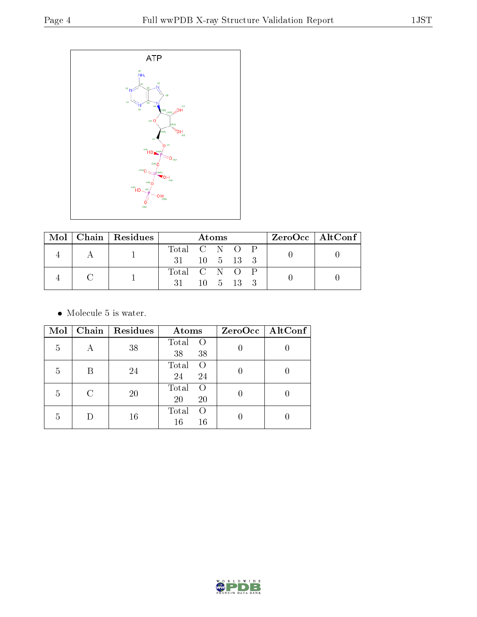

|  | $Mol$   Chain   Residues | Atoms                      |  |  |  | $ZeroOcc \   \$ AltConf $\  $ |  |
|--|--------------------------|----------------------------|--|--|--|-------------------------------|--|
|  |                          | Total C N O P              |  |  |  |                               |  |
|  |                          | $31 \t10 \t5 \t13 \t3$     |  |  |  |                               |  |
|  |                          | Total C N O P              |  |  |  |                               |  |
|  |                          | $31 \t 10 \t 5 \t 13 \t 3$ |  |  |  |                               |  |

• Molecule 5 is water.

| Mol | Chain | Residues | Atoms                                 | ZeroOcc   AltConf |
|-----|-------|----------|---------------------------------------|-------------------|
| 5   |       | 38       | Total<br>$\Omega$<br>38<br>38         |                   |
| 5   |       | 24       | Total<br>$\bigcap$<br>24<br>24        |                   |
| 5   | C     | 20       | Total<br>$\Omega$<br>20<br>20         |                   |
| 5   |       | 16       | Total<br>$\left( \right)$<br>16<br>16 |                   |

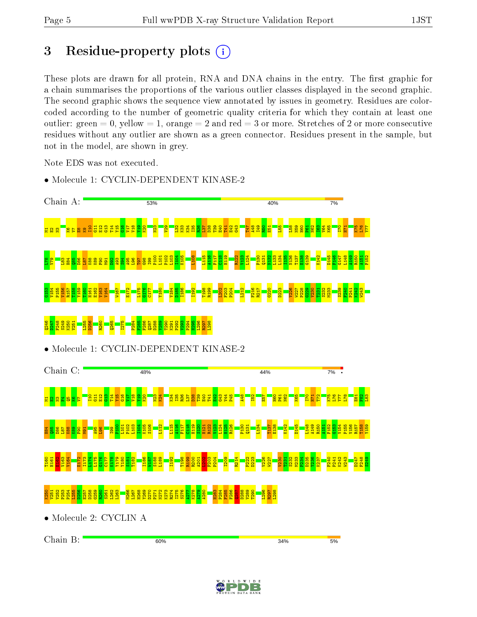## 3 Residue-property plots  $(i)$

These plots are drawn for all protein, RNA and DNA chains in the entry. The first graphic for a chain summarises the proportions of the various outlier classes displayed in the second graphic. The second graphic shows the sequence view annotated by issues in geometry. Residues are colorcoded according to the number of geometric quality criteria for which they contain at least one outlier: green  $= 0$ , yellow  $= 1$ , orange  $= 2$  and red  $= 3$  or more. Stretches of 2 or more consecutive residues without any outlier are shown as a green connector. Residues present in the sample, but not in the model, are shown in grey.

Note EDS was not executed.

• Molecule 1: CYCLIN-DEPENDENT KINASE-2



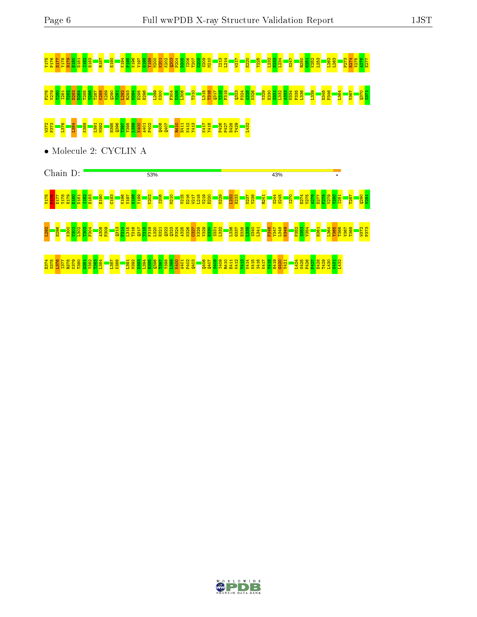# V175 P176 D177 Y178 H179 E180 D181 I182 H183 R187 E190 K194 P195 K196 V197 G198 Y199 M200 K201 K202 Q203 P204 D205 I206 T207 N208 S209 M210 I213 L214 W217 E220 Y225 L232 H233 L234 S247 R250 G251 K252 L253 L262 L263 P273 E274 V275 A276 E277 F278 V279 Y280 I281 T282 D283 D284 T285 Y286 T287 K288 K289 Q290 V291 L292 R293 M294 E295 H296 L299 K300 F304 D305 L306 T310 L315 T316 Q317 Y318 F319 Q323 P324 A325 N326 V329 E330 S331 L332 A333 M334 F335 L336 L339 D345 P346 L364 V367 Q370 S371 W32 P3<mark>73 P373 P38 H398 B398 Q41 85 E41</mark>1 P402 Q407 R410 <mark>A40</mark><br>R50 L<mark>2 A40 R41 R410 B40</mark>

• Molecule 2: CYCLIN A



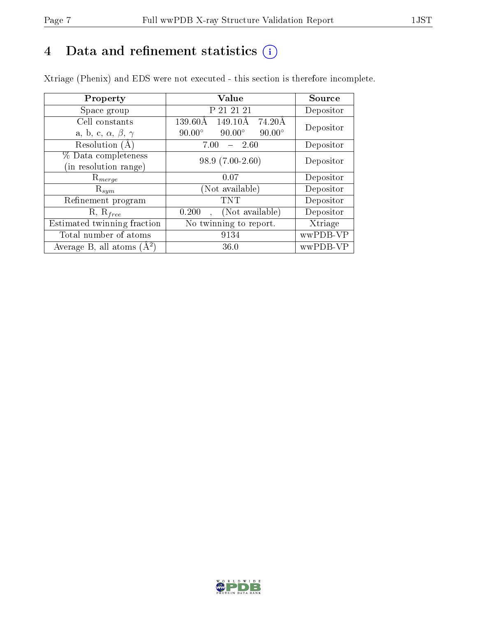## 4 Data and refinement statistics  $(i)$

Xtriage (Phenix) and EDS were not executed - this section is therefore incomplete.

| Property                               | Value                                           | Source    |
|----------------------------------------|-------------------------------------------------|-----------|
| Space group                            | P 21 21 21                                      | Depositor |
| Cell constants                         | 139.60Å<br>149.10Å<br>74.20Å                    | Depositor |
| a, b, c, $\alpha$ , $\beta$ , $\gamma$ | $90.00^\circ$<br>$90.00^\circ$<br>$90.00^\circ$ |           |
| Resolution (A                          | $-2.60$<br>7.00                                 | Depositor |
| % Data completeness                    | $98.9(7.00-2.60)$                               | Depositor |
| (in resolution range)                  |                                                 |           |
| $\mathrm{R}_{merge}$                   | 0.07                                            | Depositor |
| $\mathrm{R}_{sym}$                     | (Not available)                                 | Depositor |
| Refinement program                     | <b>TNT</b>                                      | Depositor |
| $R, R_{free}$                          | (Not available)<br>0.200                        | Depositor |
| Estimated twinning fraction            | No twinning to report.                          | Xtriage   |
| Total number of atoms                  | 9134                                            | wwPDB-VP  |
| Average B, all atoms $(A^2)$           | 36.0                                            | wwPDB-VP  |

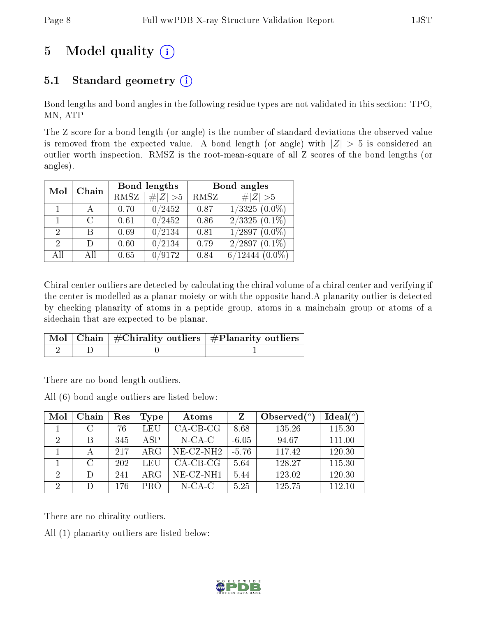## 5 Model quality  $(i)$

## 5.1 Standard geometry  $(i)$

Bond lengths and bond angles in the following residue types are not validated in this section: TPO, MN, ATP

The Z score for a bond length (or angle) is the number of standard deviations the observed value is removed from the expected value. A bond length (or angle) with  $|Z| > 5$  is considered an outlier worth inspection. RMSZ is the root-mean-square of all Z scores of the bond lengths (or angles).

| Mol                         | Chain                       |      | Bond lengths         | Bond angles |                         |  |
|-----------------------------|-----------------------------|------|----------------------|-------------|-------------------------|--|
|                             |                             | RMSZ | $\# Z  > 5$          | RMSZ        | # $ Z >5$               |  |
|                             |                             | 0.70 | 0/2452               | 0.87        | $1/3325(0.0\%)$         |  |
|                             | $\mathcal{C}_{\mathcal{C}}$ | 0.61 | $\overline{0/2}$ 452 | 0.86        | $\sqrt{2/3325 (0.1\%)}$ |  |
| $\mathcal{D}_{\mathcal{L}}$ | В                           | 0.69 | 0/2134               | 0.81        | $1/2897(0.0\%)$         |  |
| $\mathcal{D}$               | D)                          | 0.60 | 0/2134               | 0.79        | $2/2897(0.1\%)$         |  |
| All                         | АH                          | 0.65 | 0/9172               | 0.84        | $6/12444(0.0\%)$        |  |

Chiral center outliers are detected by calculating the chiral volume of a chiral center and verifying if the center is modelled as a planar moiety or with the opposite hand.A planarity outlier is detected by checking planarity of atoms in a peptide group, atoms in a mainchain group or atoms of a sidechain that are expected to be planar.

|  | $\mid$ Mol $\mid$ Chain $\mid$ #Chirality outliers $\mid$ #Planarity outliers $\mid$ |
|--|--------------------------------------------------------------------------------------|
|  |                                                                                      |

There are no bond length outliers.

All (6) bond angle outliers are listed below:

| Mol            | Chain | Res | Type | Atoms        | Z       | Observed $\binom{o}{c}$ | Ideal $(°)$ |
|----------------|-------|-----|------|--------------|---------|-------------------------|-------------|
|                | C     | 76  | LEU  | $CA-CB-CG$   | 8.68    | 135.26                  | 115.30      |
| 2              | В     | 345 | ASP  | $N-CA-C$     | $-6.05$ | 94.67                   | 111.00      |
|                |       | 217 | ARG  | $NE- CZ-NH2$ | $-5.76$ | 117.42                  | 120.30      |
|                | C     | 202 | LEU  | $CA-CB-CG$   | 5.64    | 128.27                  | 115.30      |
| 2              |       | 241 | ARG  | $NE-CZ-NH1$  | 5.44    | 123.02                  | 120.30      |
| $\overline{2}$ |       | 176 | PRO  | $N$ -CA-C    | 5.25    | 125.75                  | 112.10      |

There are no chirality outliers.

All (1) planarity outliers are listed below:

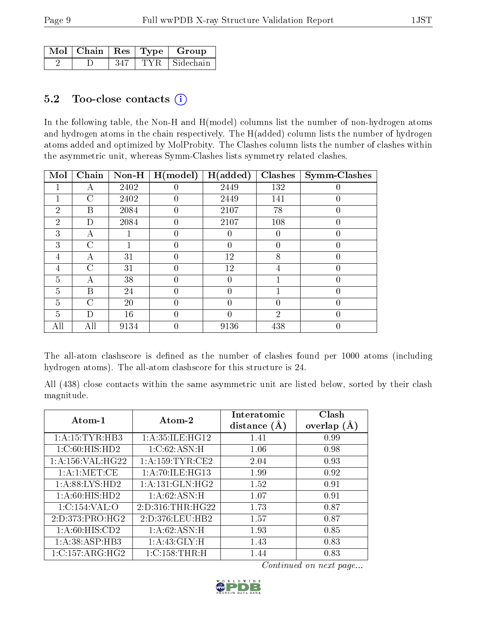|  |     | $\mid$ Mol $\mid$ Chain $\mid$ Res $\mid$ Type $\mid$ Group |
|--|-----|-------------------------------------------------------------|
|  | 347 | TYR Sidechain                                               |

#### 5.2 Too-close contacts  $(i)$

In the following table, the Non-H and H(model) columns list the number of non-hydrogen atoms and hydrogen atoms in the chain respectively. The H(added) column lists the number of hydrogen atoms added and optimized by MolProbity. The Clashes column lists the number of clashes within the asymmetric unit, whereas Symm-Clashes lists symmetry related clashes.

| Mol            | Chain         | $Non-H$ | H (model)        | H(added) | Clashes        | <b>Symm-Clashes</b> |
|----------------|---------------|---------|------------------|----------|----------------|---------------------|
| $\mathbf{I}$   | А             | 2402    | $\left( \right)$ | 2449     | 132            | 0                   |
|                | С             | 2402    | $\theta$         | 2449     | 141            |                     |
| $\overline{2}$ | B             | 2084    | $\theta$         | 2107     | 78             | $\theta$            |
| $\overline{2}$ | D             | 2084    | $\theta$         | 2107     | 108            | $\theta$            |
| 3              | А             |         | $\left( \right)$ |          | 0              | 0                   |
| 3              | C             |         | $\theta$         | 0        | $\theta$       | $\theta$            |
| 4              | А             | 31      | $\theta$         | 12       | 8              | $\theta$            |
| 4              | C             | 31      | $\theta$         | 12       | 4              |                     |
| 5              | А             | 38      | $\theta$         | 0        |                | $\theta$            |
| $\overline{5}$ | B             | 24      | $\theta$         | 0        |                | $\theta$            |
| 5              | $\mathcal{C}$ | 20      | $\theta$         | 0        | 0              | $\theta$            |
| 5              | D             | 16      | $\theta$         | 0        | $\overline{2}$ | $\Omega$            |
| All            | All           | 9134    | $\overline{0}$   | 9136     | 438            | 0                   |

The all-atom clashscore is defined as the number of clashes found per 1000 atoms (including hydrogen atoms). The all-atom clashscore for this structure is 24.

All (438) close contacts within the same asymmetric unit are listed below, sorted by their clash magnitude.

| Atom-1               | Atom-2              | Interatomic<br>distance $(A)$ | Clash<br>overlap $(A)$ |
|----------------------|---------------------|-------------------------------|------------------------|
| 1: A: 15: TYR: HB3   | 1: A:35: ILE: HG12  | 1.41                          | 0.99                   |
| 1:C:60:HIS:HD2       | 1:C:62:ASN:H        | 1.06                          | 0.98                   |
| 1: A: 156: VAL: HG22 | 1: A: 159: TYR: CE2 | 2.04                          | 0.93                   |
| 1: A:1: MET:CE       | 1: A:70: ILE: HG13  | 1.99                          | 0.92                   |
| 1:A:88:LYS:HD2       | 1: A:131: GLN: HG2  | 1.52                          | 0.91                   |
| 1: A:60: HIS: HD2    | 1: A:62: ASN:H      | 1.07                          | 0.91                   |
| 1:C:154:VAL:O        | 2:D:316:THR:HG22    | 1.73                          | 0.87                   |
| 2:D:373:PRO:HG2      | 2:D:376:LEU:HB2     | 1.57                          | 0.87                   |
| 1: A:60: HIS:CD2     | 1:A:62:ASN:H        | 1.93                          | 0.85                   |
| 1: A: 38: ASP: HB3   | 1:A:43:GLY:H        | 1.43                          | 0.83                   |
| 1:C:157:ARG:HG2      | 1:C:158:THR:H       | 1.44                          | 0.83                   |

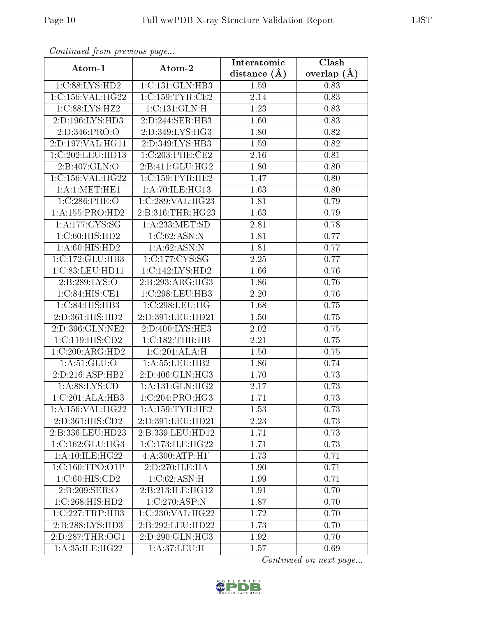| Communica from precious page |                              | Interatomic    | Clash           |
|------------------------------|------------------------------|----------------|-----------------|
| Atom-1                       | Atom-2                       | distance $(A)$ | overlap $(\AA)$ |
| 1:C:88:LYS:HD2               | 1:C:131:GLN:HB3              | 1.59           | 0.83            |
| 1:C:156:VAL:HG22             | 1:C:159:TYR:CE2              | 2.14           | 0.83            |
| 1:C:88:LYS:HZ2               | 1:C:131:GLN:H                | 1.23           | 0.83            |
| 2:D:196:LYS:HD3              | 2:D:244:SER:HB3              | 1.60           | 0.83            |
| 2: D: 346: PRO: O            | 2:D:349:LYS:HG3              | 1.80           | 0.82            |
| 2:D:197:VAL:HG11             | 2:D:349:LYS:HB3              | 1.59           | 0.82            |
| 1:C:202:LEU:HD13             | 1:C:203:PHE:CE2              | 2.16           | 0.81            |
| 2:B:407:GLN:O                | 2:B:411:GLU:HG2              | 1.80           | 0.80            |
| 1:C:156:VAL:HG22             | 1:C:159:TYR:HE2              | 1.47           | 0.80            |
| 1: A:1: MET: HE1             | 1: A:70: ILE: HG13           | 1.63           | 0.80            |
| 1:C:286:PHE:O                | 1:C:289:VAL:HG23             | 1.81           | 0.79            |
| 1:A:155:PRO:HD2              | 2:B:316:THR:HG23             | 1.63           | 0.79            |
| 1: A:177:CYS:SG              | 1: A: 233: MET: SD           | 2.81           | 0.78            |
| 1:C:60:HIS:HD2               | 1:C:62:ASN:N                 | 1.81           | 0.77            |
| 1: A:60: HIS: HD2            | 1:A:62:ASN:N                 | 1.81           | 0.77            |
| 1:C:172:GLU:HB3              | 1:C:177:CYS:SG               | 2.25           | 0.77            |
| 1:C:83:LEU:HDI1              | 1:C:142:LYS:HD2              | 1.66           | 0.76            |
| 2:B:289:LYS:O                | 2:B:293:ARG:HG3              | 1.86           | 0.76            |
| 1:C:84:HIS:CE1               | 1:C:298:LEU:HB3              | 2.20           | 0.76            |
| 1:C:84:HIS:HB3               | 1:C:298:LEU:HG               | 1.68           | 0.75            |
| 2:D:361:HIS:HD2              | 2:D:391:LEU:HD21             | 1.50           | 0.75            |
| 2:D:396:GLN:NE2              | 2:D:400:LYS:HE3              | 2.02           | 0.75            |
| 1: C: 119: HIS: CD2          | 1:C:182:THR:HB               | 2.21           | 0.75            |
| 1:C:200:ARG:HD2              | 1:C:201:ALA:H                | 1.50           | 0.75            |
| 1: A:51: GLU:O               | 1:A:55:LEU:HB2               | 1.86           | 0.74            |
| 2:D:216:ASP:HB2              | 2:D:406:GLN:HG3              | 1.70           | 0.73            |
| 1: A:88: LYS:CD              | 1: A: 131: GLN: HG2          | 2.17           | 0.73            |
| 1:C:201:ALA:HB3              | 1:C:204:PRO:HG3              | 1.71           | 0.73            |
| 1:A:156:VAL:HG22             | 1: A: 159: TYR: HE2          | 1.53           | 0.73            |
| 2:D:361:HIS:CD2              | 2:D:391:LEU:HD21             | 2.23           | 0.73            |
| 2:B:336:LEU:HD23             | 2:B:339:LEU:HD12             | 1.71           | 0.73            |
| 1:C:162:GLU:HG3              | 1:C:173:ILE:HG22             | 1.71           | 0.73            |
| 1:A:10:ILE:HG22              | 4:A:300:ATP:H1'              | 1.73           | 0.71            |
| 1:C:160:TPO:O1P              | 2:D:270:ILE:HA               | 1.90           | 0.71            |
| 1:C:60:HIS:CD2               | 1:C:62:ASN:H                 | 1.99           | 0.71            |
| 2: B:209: SER:O              | 2:B:213:ILE:HG12             | 1.91           | 0.70            |
| 1:C:268:HIS:HD2              | 1:C:270:ASP:N                | 1.87           | 0.70            |
| 1:C:227:TRP:HB3              | 1:C:230:VAL:HG22             | 1.72           | 0.70            |
| 2:B:288:LYS:HD3              | 2:B:292:LEU:HD22             | 1.73           | 0.70            |
| 2:D:287:THR:OG1              | $2:D:290:GLN:H\overline{G3}$ | 1.92           | 0.70            |
| 1:A:35:ILE:HG22              | 1: A:37: LEU:H               | 1.57           | 0.69            |

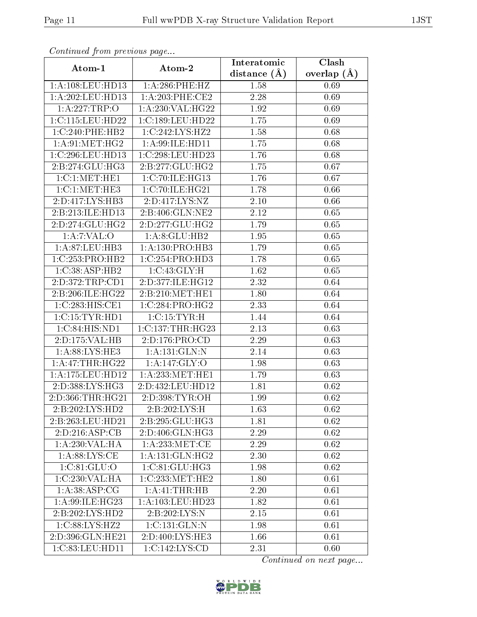| Continuea from previous page<br>Clash<br>Interatomic |                                    |                |               |  |  |
|------------------------------------------------------|------------------------------------|----------------|---------------|--|--|
| Atom-1                                               | Atom-2                             | distance $(A)$ | overlap $(A)$ |  |  |
| 1:A:108:LEU:HD13                                     | 1:A:286:PHE:HZ                     | 1.58           | 0.69          |  |  |
| 1:A:202:LEU:HD13                                     | 1: A:203:PHE:CE2                   | 2.28           | 0.69          |  |  |
| 1:A:227:TRP:O                                        | 1: A:230: VAL:HG22                 | 1.92           | 0.69          |  |  |
| 1:C:115:LEU:HD22                                     | 1:C:189:LEU:HD22                   | 1.75           | 0.69          |  |  |
| 1:C:240:PHE:HB2                                      | 1:C:242:LYS:HZ2                    | 1.58           | 0.68          |  |  |
| 1: A:91: MET:HG2                                     | 1:A:99:ILE:HD11                    | 1.75           | 0.68          |  |  |
| 1:C:296:LEU:HD13                                     | 1:C:298:LEU:HD23                   | 1.76           | 0.68          |  |  |
| 2:B:274:GLU:HG3                                      | 2:B:277:GLU:HG2                    | 1.75           | 0.67          |  |  |
| 1:C:1:MET:HE1                                        | 1:C:70:ILE:HG13                    | 1.76           | 0.67          |  |  |
| 1:C:1:MET:HE3                                        | 1:C:70:ILE:HG21                    | 1.78           | 0.66          |  |  |
| 2:D:417:LYS:HB3                                      | 2:D:417:LYS:NZ                     | 2.10           | 0.66          |  |  |
| 2:B:213:ILE:HD13                                     | 2:B:406:GLN:NE2                    | 2.12           | 0.65          |  |  |
| 2:D:274:GLU:HG2                                      | 2:D:277:GLU:HG2                    | 1.79           | 0.65          |  |  |
| 1:A:7:VAL:O                                          | 1: A:8: GLU: HB2                   | 1.95           | 0.65          |  |  |
| 1: A:87:LEU:HB3                                      | 1:A:130:PRO:HB3                    | 1.79           | 0.65          |  |  |
| $1:C:253:PRO:H\overline{B2}$                         | 1:C:254:PRO:HD3                    | 1.78           | 0.65          |  |  |
| 1:C:38:ASP:HB2                                       | 1:C:43:GLY:H                       | 1.62           | 0.65          |  |  |
| 2:D:372:TRP:CD1                                      | 2:D:377:ILE:HG12                   | 2.32           | 0.64          |  |  |
| 2:B:206:ILE:HG22                                     | 2:B:210:MET:HE1                    | 1.80           | 0.64          |  |  |
| 1:C:283:HIS:CE1                                      | 1:C:284:PRO:HG2                    | 2.33           | 0.64          |  |  |
| 1:C:15:TYR:HD1                                       | 1:C:15:TYR:H                       | 1.44           | 0.64          |  |  |
| 1:C:84:HIS:ND1                                       | 1:C:137:THR:HG23                   | 2.13           | 0.63          |  |  |
| 2:D:175:VAL:HB                                       | 2:D:176:PRO:CD                     | 2.29           | 0.63          |  |  |
| 1: A:88: LYS: HE3                                    | 1:A:131:GLN:N                      | 2.14           | 0.63          |  |  |
| 1:A:47:THR:HG22                                      | 1:A:147:GLY:O                      | 1.98           | 0.63          |  |  |
| 1:A:175:LEU:HD12                                     | 1: A:233:MET:HE1                   | 1.79           | 0.63          |  |  |
| 2:D:388:LYS:HG3                                      | 2:D:432:LEU:HD12                   | 1.81           | 0.62          |  |  |
| 2:D:366:THR:HG21                                     | 2:D:398:TYR:OH                     | 1.99           | 0.62          |  |  |
| 2:B:202:LYS:HD2                                      | 2:B:202:LYS:H                      | 1.63           | 0.62          |  |  |
| 2:B:263:LEU:HD21                                     | 2:B:295:GLU:HG3                    | 1.81           | 0.62          |  |  |
| 2:D:216:ASP:CB                                       | 2:D:406:GLN:HG3                    | 2.29           | 0.62          |  |  |
| 1: A:230: VAL: HA                                    | 1: A:233:MET:CE                    | 2.29           | 0.62          |  |  |
| 1: A:88: LYS:CE                                      | 1: A: 131: GLN: HG2                | 2.30           | 0.62          |  |  |
| 1:C:81:GLU:O                                         | 1:C:81:GLU:HG3                     | 1.98           | 0.62          |  |  |
| 1:C:230:VAL:HA                                       | $1:C:233:MET:H\overline{E2}$       | 1.80           | 0.61          |  |  |
| 1:A:38:ASP:CG                                        | 1:A:41:THR:HB                      | 2.20           | 0.61          |  |  |
| 1: A:99: ILE: HG23                                   | 1: A: 103: LEU: HD23               | 1.82           | 0.61          |  |  |
| 2:B:202:LYS:HD2                                      | 2:B:202:LYS:N                      | $2.15\,$       | 0.61          |  |  |
| 1:C:88:LYS:HZ2                                       | 1:C:131:GLN:N                      | 1.98           | 0.61          |  |  |
| 2:D:396:GLN:HE21                                     | 2:D:400:LYS:HE3                    | 1.66           | 0.61          |  |  |
| 1:C:83:LEU:HD11                                      | $1:C:142:\overline{\text{LYS:CD}}$ | 2.31           | 0.60          |  |  |

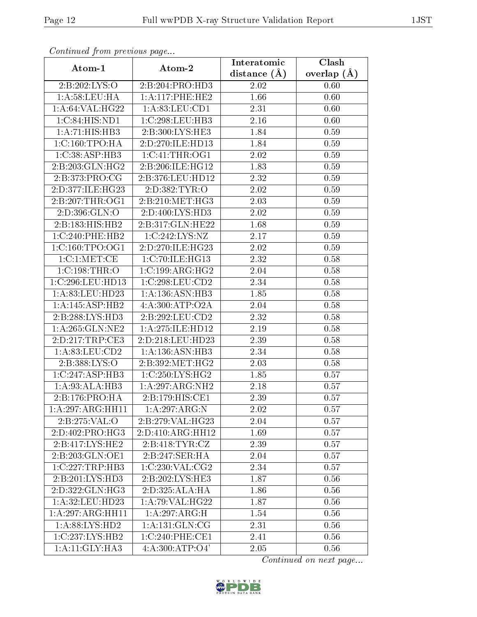| Commaca jibin previous page  |                     | Interatomic       | Clash           |
|------------------------------|---------------------|-------------------|-----------------|
| Atom-1                       | Atom-2              | distance $(A)$    | overlap $(\AA)$ |
| 2:B:202:LYS:O                | 2:B:204:PRO:HD3     | 2.02              | 0.60            |
| 1: A:58:LEU:HA               | 1: A:117:PHE:HE2    | 1.66              | 0.60            |
| 1: A:64:VAL:HG22             | 1: A:83: LEU:CD1    | 2.31              | 0.60            |
| 1:C:84:HIS:ND1               | 1:C:298:LEU:HB3     | 2.16              | 0.60            |
| 1:A:71:HIS:HB3               | 2:B:300:LYS:HE3     | 1.84              | 0.59            |
| 1:C:160:TPO:HA               | 2:D:270:ILE:HD13    | 1.84              | 0.59            |
| 1:C:38:ASP:HB3               | 1:C:41:THR:OG1      | 2.02              | 0.59            |
| $2:B:203:GLN:H\overline{G2}$ | 2:B:206:ILE:HG12    | 1.83              | 0.59            |
| 2:B:373:PRO:CG               | 2:B:376:LEU:HD12    | 2.32              | 0.59            |
| 2:D:377:ILE:HG23             | 2:D:382:TYR:O       | 2.02              | 0.59            |
| 2:B:207:THR:OG1              | 2:B:210:MET:HG3     | 2.03              | 0.59            |
| 2:D:396:GLN:O                | 2:D:400:LYS:HD3     | 2.02              | 0.59            |
| 2:B:183:HIS:HB2              | 2:B:317:GLN:HE22    | 1.68              | 0.59            |
| 1:C:240:PHE:HB2              | 1:C:242:LYS:NZ      | 2.17              | 0.59            |
| 1:C:160:TPO:OG1              | 2:D:270:ILE:HG23    | 2.02              | 0.59            |
| 1:C:1:MET:CE                 | 1:C:70:ILE:HG13     | 2.32              | 0.58            |
| 1:C:198:THR:O                | 1:C:199:ARG:HG2     | 2.04              | 0.58            |
| 1:C:296:LEU:HD13             | 1:C:298:LEU:CD2     | 2.34              | 0.58            |
| 1:A:83:LEU:HD23              | 1:A:136:ASN:HB3     | 1.85              | 0.58            |
| 1: A:145: ASP:HB2            | 4:A:300:ATP:O2A     | 2.04              | 0.58            |
| 2:B:288:LYS:HD3              | 2:B:292:LEU:CD2     | 2.32              | 0.58            |
| 1: A:265: GLN:NE2            | 1: A:275: ILE: HD12 | 2.19              | 0.58            |
| 2:D:217:TRP:CE3              | 2:D:218:LEU:HD23    | 2.39              | 0.58            |
| 1: A:83:LEU:CD2              | 1: A: 136: ASN: HB3 | $\overline{2}.34$ | 0.58            |
| 2: B: 388: LYS: O            | 2:B:392:MET:HG2     | 2.03              | 0.58            |
| 1:C:247:ASP:HB3              | 1:C:250:LYS:HG2     | 1.85              | 0.57            |
| 1: A:93:ALA:HB3              | 1:A:297:ARG:NH2     | 2.18              | 0.57            |
| 2:B:176:PRO:HA               | 2:B:179:HIS:CE1     | 2.39              | 0.57            |
| 1:A:297:ARG:HH11             | 1:A:297:ARG:N       | 2.02              | 0.57            |
| 2:B:275:VAL:O                | 2:B:279:VAL:HG23    | 2.04              | 0.57            |
| 2:D:402:PRO:HG3              | 2:D:410:ARG:HH12    | 1.69              | 0.57            |
| 2:B:417:LYS:HE2              | 2:B:418:TYR:CZ      | 2.39              | 0.57            |
| 2:B:203:GLN:OE1              | 2:B:247:SER:HA      | 2.04              | 0.57            |
| 1:C:227:TRP:HB3              | 1:C:230:VAL:CG2     | 2.34              | 0.57            |
| 2:B:201:LYS:HD3              | 2:B:202:LYS:HE3     | 1.87              | 0.56            |
| 2:D:322:GLN:HG3              | 2:D:325:ALA:HA      | 1.86              | 0.56            |
| 1:A:32:LEU:HD23              | 1:A:79:VAL:HG22     | 1.87              | 0.56            |
| 1:A:297:ARG:HH11             | 1:A:297:ARG:H       | 1.54              | 0.56            |
| 1:A:88:LYS:HD2               | 1: A: 131: GLN: CG  | 2.31              | 0.56            |
| 1:C:237:LYS:HB2              | 1:C:240:PHE:CE1     | 2.41              | 0.56            |
| 1:A:11:GLY:HA3               | 4:A:300:ATP:O4'     | 2.05              | 0.56            |

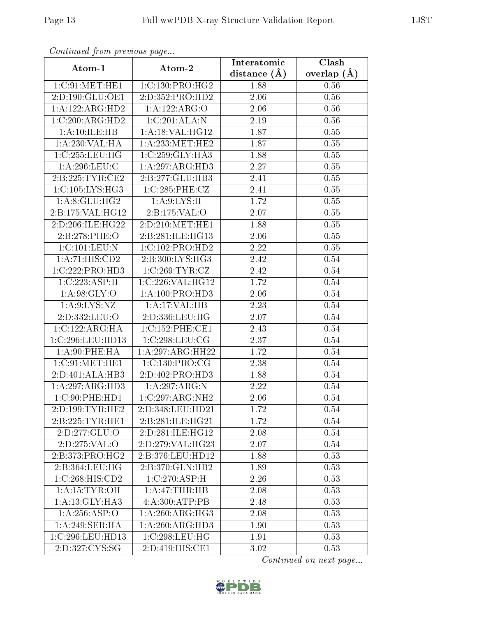| Communa from previous page  |                             | Interatomic      | Clash           |
|-----------------------------|-----------------------------|------------------|-----------------|
| Atom-1                      | Atom-2                      | distance $(\AA)$ | overlap $(\AA)$ |
| 1:C:91:MET:HE1              | 1:C:130:PRO:HG2             | 1.88             | 0.56            |
| 2:D:190:GLU:OE1             | 2:D:352:PRO:HD2             | 2.06             | 0.56            |
| 1:A:122:ARG:HD2             | 1:A:122:ARG:O               | 2.06             | 0.56            |
| 1:C:200:ARG:HD2             | 1:C:201:ALA:N               | 2.19             | 0.56            |
| 1:A:10:ILE:HB               | 1: A:18: VAL:HG12           | 1.87             | 0.55            |
| 1:A:230:VAL:HA              | 1:A:233:MET:HE2             | 1.87             | 0.55            |
| 1:C:255:LEU:HG              | 1:C:259:GLY:HA3             | 1.88             | 0.55            |
| 1: A:296:LEU:C              | 1:A:297:ARG:HD3             | 2.27             | 0.55            |
| 2:B:225:TYR:CE2             | 2:B:277:GLU:HB3             | 2.41             | 0.55            |
| 1:C:105:LYS:HG3             | 1:C:285:PHE:CZ              | 2.41             | 0.55            |
| 1: A:8: GLU: HG2            | 1: A:9: LYS:H               | 1.72             | 0.55            |
| 2:B:175:VAL:HG12            | 2:Bi:175:VAL:O              | 2.07             | 0.55            |
| 2:D:206:ILE:HG22            | 2:D:210:MET:HE1             | 1.88             | 0.55            |
| 2:B:278:PHE:O               | 2:B:281:ILE:HG13            | 2.06             | 0.55            |
| 1:C:101:LEU:N               | 1:C:102:PRO:HD2             | 2.22             | 0.55            |
| 1:A:71:HIS:CD2              | 2:B:300:LYS:HG3             | 2.42             | 0.54            |
| 1:C:222:PRO:HD3             | 1:C:269:TYR:CZ              | 2.42             | 0.54            |
| 1:C:223:ASP:H               | 1:C:226:VAL:HG12            | 1.72             | 0.54            |
| 1: A:98: GLY:O              | 1: A:100: PRO:HD3           | 2.06             | 0.54            |
| 1: A:9: LYS: NZ             | 1:A:17:VAL:HB               | 2.23             | 0.54            |
| 2:D:332:LEU:O               | 2:D:336:LEU:HG              | 2.07             | 0.54            |
| 1:C:122:ARG:HA              | 1:C:152:PHE:CE1             | 2.43             | $0.54\,$        |
| 1:C:296:LEU:HD13            | 1:C:298:LEU:CG              | 2.37             | 0.54            |
| 1: A:90: PHE: HA            | 1:A:297:ARG:HH22            | 1.72             | 0.54            |
| 1:C:91:MET:HE1              | 1:C:130:PRO:CG              | 2.38             | 0.54            |
| 2:D:401:ALA:HB3             | 2:D:402:PRO:H <sub>D3</sub> | 1.88             | 0.54            |
| 1:A:297:ARG:HD3             | 1:A:297:ARG:N               | 2.22             | 0.54            |
| 1:C:90:PHE:HD1              | 1:C:297:ARG:NH2             | 2.06             | 0.54            |
| 2:D:199:TYR:HE2             | 2:D:348:LEU:HD21            | 1.72             | 0.54            |
| 2:B:225:TYR:HE1             | 2:B:281:ILE:HG21            | 1.72             | 0.54            |
| 2:D:277:GLU:O               | 2:D:281:ILE:HG12            | 2.08             | 0.54            |
| 2:D:275:VAL:O               | 2:D:279:VAL:HG23            | 2.07             | 0.54            |
| 2:B:373:PRO:HG2             | 2:B:376:LEU:HD12            | 1.88             | 0.53            |
| 2:B:364:LEU:HG              | 2:B:370:GLN:HB2             | 1.89             | 0.53            |
| 1:C:268:HIS:CD2             | 1:C:270:ASP:H               | 2.26             | 0.53            |
| 1: A: 15: TYR: OH           | 1:A:47:THR:HB               | 2.08             | 0.53            |
| 1: A:13: GLY:HA3            | 4:A:300:ATP:PB              | 2.48             | 0.53            |
| 1:A:256:ASP:O               | 1: A:260:ARG:HG3            | 2.08             | 0.53            |
| 1:A:249:SER:HA              | 1:A:260:ARG:HD3             | 1.90             | 0.53            |
| 1:C:296:LEU:HD13            | 1:C:298:LEU:HG              | 1.91             | 0.53            |
| 2:D:327:C <sub>Y</sub> S:SG | 2:D:419:HIS:CE1             | 3.02             | 0.53            |

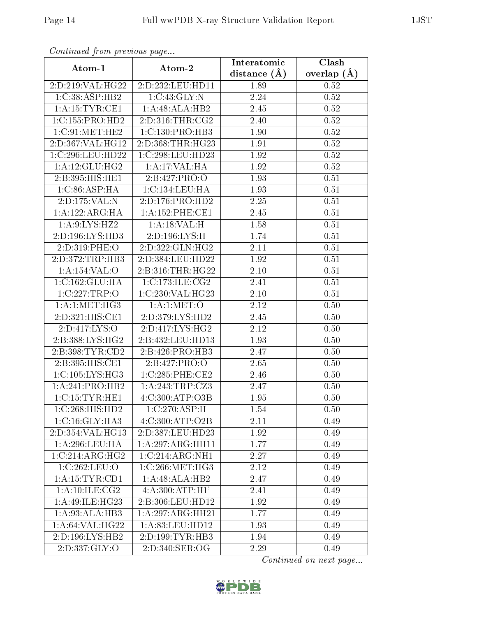| Continuea from previous page |                              | Interatomic       | Clash         |
|------------------------------|------------------------------|-------------------|---------------|
| Atom-1                       | Atom-2                       | distance $(A)$    | overlap $(A)$ |
| 2:D:219:VAL:HG22             | 2:D:232:LEU:HD11             | 1.89              | 0.52          |
| 1:C:38:ASP:HB2               | 1:C:43:GLY:N                 | 2.24              | 0.52          |
| 1: A:15:TYR:CE1              | 1:A:48:ALA:HB2               | 2.45              | 0.52          |
| 1:C:155:PRO:HD2              | 2:D:316:THR:CG2              | 2.40              | 0.52          |
| 1:C:91:MET:HE2               | 1:C:130:PRO:HB3              | 1.90              | 0.52          |
| 2:D:367:VAL:HG12             | 2:D:368:THR:HG23             | 1.91              | 0.52          |
| 1:C:296:LEU:HD22             | 1:C:298:LEU:HD23             | 1.92              | 0.52          |
| 1: A:12: GLU: HG2            | 1:A:17:VAL:HA                | 1.92              | 0.52          |
| 2:B:395:HIS:HE1              | 2:B:427:PRO:O                | 1.93              | 0.51          |
| 1:C:86:ASP:HA                | 1:C:134:LEU:HA               | 1.93              | 0.51          |
| 2:D:175:VAL:N                | 2:D:176:PRO:HD2              | 2.25              | 0.51          |
| 1:A:122:ARG:HA               | 1: A: 152: PHE: CE1          | 2.45              | 0.51          |
| 1:A:9:LYS:HZ2                | 1:A:18:VAL:H                 | 1.58              | 0.51          |
| 2:D:196:LYS:HD3              | 2:D:196:LYS:H                | 1.74              | 0.51          |
| 2:D:319:PHE:O                | 2:D:322:GLN:HG2              | 2.11              | 0.51          |
| 2:D:372:TRP:HB3              | 2:D:384:LEU:HD22             | 1.92              | 0.51          |
| 1:A:154:VAL:O                | 2:B:316:THR:HG22             | $2.10\,$          | 0.51          |
| 1:C:162:GLU:HA               | 1:C:173:ILE:CG2              | 2.41              | 0.51          |
| 1:C:227:TRP:O                | 1:C:230:VAL:HG23             | $2.10\,$          | 0.51          |
| 1: A:1: MET:HG3              | 1: A:1: MET:O                | 2.12              | 0.50          |
| 2:D:321:HIS:CE1              | 2:D:379:LYS:HD2              | $\overline{2}.45$ | 0.50          |
| 2:D:417:LYS:O                | 2:D:417:LYS:HG2              | 2.12              | 0.50          |
| 2:B:388:LYS:HG2              | 2:B:432:LEU:HD13             | 1.93              | 0.50          |
| 2: B: 398: TYR: CD2          | 2:B:426:PRO:HB3              | 2.47              | 0.50          |
| 2:B:395:HIS:CE1              | 2:Bi:427:PRO:O               | 2.65              | 0.50          |
| 1:C:105:LYS:HG3              | 1:C:285:PHE:CE2              | 2.46              | 0.50          |
| 1:A:241:PRO:HB2              | 1:A:243:TRP:CZ3              | 2.47              | 0.50          |
| 1:C:15:TYR:HE1               | $4:C:300:A\overline{TP:O3B}$ | 1.95              | 0.50          |
| 1:C:268:HIS:HD2              | 1:C:270:ASP:H                | 1.54              | 0.50          |
| 1:C:16:GLY:HA3               | 4:C:300:ATP:O2B              | 2.11              | 0.49          |
| 2:D:354:VAL:HG13             | 2:D:387:LEU:HD23             | 1.92              | 0.49          |
| 1: A:296:LEU:HA              | 1:A:297:ARG:HH11             | 1.77              | 0.49          |
| 1:C:214:ARG:HG2              | 1:C:214:ARG:NH1              | 2.27              | 0.49          |
| 1:C:262:LEU:O                | 1:C:266:MET:HG3              | 2.12              | 0.49          |
| 1: A: 15: TYR: CD1           | 1:A:48:ALA:HB2               | 2.47              | 0.49          |
| $1:A:\overline{10:ILE:CG2}$  | 4:A:300:ATP:H1'              | 2.41              | 0.49          |
| 1:A:49:ILE:HG23              | 2:B:306:LEU:HD12             | 1.92              | 0.49          |
| 1: A:93:ALA:HB3              | 1:A:297:ARG:HH21             | 1.77              | 0.49          |
| 1: A:64:VAL:HG22             | 1: A:83: LEU: HD12           | 1.93              | 0.49          |
| 2:D:196:LYS:HB2              | 2:D:199:TYR:HB3              | 1.94              | 0.49          |
| 2:D:337:GLY:O                | 2:D:340:SER:OG               | 2.29              | 0.49          |

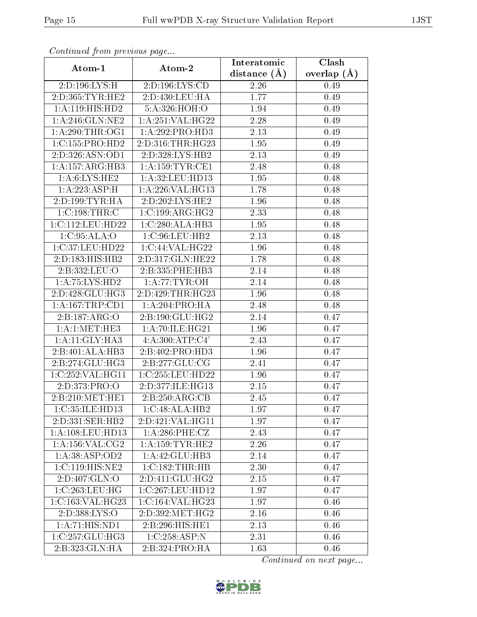| Communa from previous page  |                                         | Interatomic      | Clash           |
|-----------------------------|-----------------------------------------|------------------|-----------------|
| Atom-1                      | Atom-2                                  | distance $(\AA)$ | overlap $(\AA)$ |
| 2:D:196:LYS:H               | 2:D:196:LYS:CD                          | 2.26             | 0.49            |
| 2:D:365:TYR:HE2             | 2:D:430:LEU:HA                          | 1.77             | 0.49            |
| 1:A:119:HIS:HD2             | 5:A:326:HOH:O                           | $1.94\,$         | 0.49            |
| 1: A:246: GLN:NE2           | 1: A:251:VAL:HG22                       | 2.28             | 0.49            |
| 1: A:290:THR:OG1            | $1:\overline{A}:292:\overline{PRO:HD3}$ | 2.13             | 0.49            |
| 1:C:155:PRO:HD2             | 2:D:316:THR:HG23                        | 1.95             | 0.49            |
| 2:D:326:ASN:OD1             | 2:D:328:LYS:HB2                         | 2.13             | 0.49            |
| 1:A:157:ARG:HB3             | 1: A: 159: TYR: CE1                     | 2.48             | 0.48            |
| 1: A:6: LYS: HE2            | 1: A:32: LEU: HD13                      | 1.95             | 0.48            |
| 1: A: 223: ASP:H            | $1:$ A:226:VAL:HG13                     | 1.78             | 0.48            |
| 2:D:199:TYR:HA              | 2:D:202:LYS:HE2                         | 1.96             | 0.48            |
| 1:C:198:THR:C               | 1:C:199:ARG:HG2                         | 2.33             | 0.48            |
| 1:C:112:LEU:HD22            | 1:C:280:ALA:HB3                         | 1.95             | 0.48            |
| 1:C:95:ALA:O                | 1:C:96:LEU:HB2                          | 2.13             | 0.48            |
| 1:C:37:LEU:HD22             | 1:C:44:VAL:HG22                         | 1.96             | 0.48            |
| 2:D:183:HIS:HB2             | 2:D:317:GLN:HE22                        | 1.78             | 0.48            |
| 2:B:332:LEU:O               | 2:B:335:PHE:HB3                         | 2.14             | 0.48            |
| 1:A:75:LYS:HD2              | 1: A:77:TYR:OH                          | 2.14             | 0.48            |
| 2:D:428:GLU:HG3             | 2:D:429:THR:HG23                        | 1.96             | 0.48            |
| 1: A: 167: TRP: CD1         | 1: A:204:PRO:HA                         | 2.48             | 0.48            |
| 2:B:187:ARG:O               | 2:B:190:GLU:HG2                         | 2.14             | 0.47            |
| 1: A:1:MET:HE3              | 1: A:70: ILE: HG21                      | 1.96             | 0.47            |
| 1:A:11:GLY:HA3              | 4: A:300:ATP:C4'                        | 2.43             | 0.47            |
| 2:B:401:ALA:HB3             | 2:B:402:PRO:HD3                         | 1.96             | 0.47            |
| 2:B:274:GLU:HG3             | 2:B:277:GLU:CG                          | 2.41             | 0.47            |
| 1:C:252:VAL:HG11            | 1:C:255:LEU:HD22                        | 1.96             | 0.47            |
| 2:D:373:PRO:O               | 2:D:377:ILE:HG13                        | 2.15             | 0.47            |
| 2:B:210:MET:HE1             | 2:B:250:ARG:CB                          | 2.45             | 0.47            |
| 1:C:35:ILE:HD13             | 1:C:48:ALA:HB2                          | 1.97             | 0.47            |
| 2:D:331:SER:HB2             | 2:D:421:VAL:HG11                        | 1.97             | 0.47            |
| 1:A:108:LEU:HD13            | $1: A:286:$ PHE:CZ                      | 2.43             | 0.47            |
| 1: A: 156: VAL: CG2         | 1: A: 159: TYR: HE2                     | 2.26             | 0.47            |
| 1: A:38: ASP:OD2            | 1: A: 42: GLU: HB3                      | 2.14             | 0.47            |
| 1:C:119:HIS:NE2             | 1:C:182:THR:HB                          | 2.30             | 0.47            |
| 2: D:407: GLN:O             | 2:D:411:GLU:HG2                         | 2.15             | 0.47            |
| 1:C:263:LEU:HG              | 1:C:267:LEU:HD12                        | 1.97             | 0.47            |
| 1:C:163:VAL:HG23            | 1:C:164:VAL:HG23                        | 1.97             | 0.46            |
| 2:D:388:LYS:O               | 2:D:392:MET:HG2                         | 2.16             | 0.46            |
| 1:A:71:HIS:ND1              | 2:B:296:HIS:HE1                         | 2.13             | 0.46            |
| 1:C:257:GLU:HG3             | 1:C:258:ASP:N                           | 2.31             | 0.46            |
| $2:B:323:GLN:\overline{HA}$ | 2:B:324:PRO:HA                          | 1.63             | 0.46            |

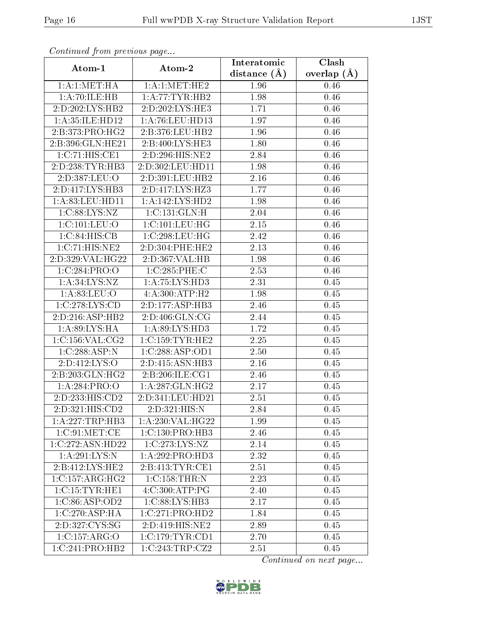| Continuea from previous page        |                     | Interatomic    | Clash         |
|-------------------------------------|---------------------|----------------|---------------|
| Atom-1                              | Atom-2              | distance $(A)$ | overlap $(A)$ |
| 1: A:1: MET:HA                      | 1:A:1:MET:HE2       | 1.96           | 0.46          |
| 1:A:70:ILE:HB                       | 1:A:77:TYR:HB2      | 1.98           | 0.46          |
| $2:D:202:LYS:H\overline{B2}$        | 2:D:202:LYS:HE3     | 1.71           | 0.46          |
| 1:A:35:ILE:HD12                     | 1:A:76:LEU:HD13     | 1.97           | 0.46          |
| 2:B:373:PRO:HG2                     | 2:B:376:LEU:HB2     | 1.96           | 0.46          |
| 2:B:396:GLN:HE21                    | 2:B:400:LYS:HE3     | 1.80           | 0.46          |
| 1:C:71:HIS:CE1                      | 2:D:296:HIS:NE2     | 2.84           | 0.46          |
| 2:D:238:TYR:HB3                     | 2:D:302:LEU:HD11    | 1.98           | 0.46          |
| 2:D:387:LEU:O                       | 2:D:391:LEU:HB2     | 2.16           | 0.46          |
| 2:D:417:LYS:HB3                     | 2:D:417:LYS:HZ3     | 1.77           | 0.46          |
| 1: A:83: LEU: HD11                  | 1:A:142:LYS:HD2     | 1.98           | 0.46          |
| 1:C:88:LYS:NZ                       | 1:C:131:GLN:H       | 2.04           | 0.46          |
| $1:C:101:\overline{\textrm{LEU:O}}$ | 1:C:101:LEU:HG      | 2.15           | 0.46          |
| 1:C:84:HIS:CB                       | 1:C:298:LEU:HG      | 2.42           | 0.46          |
| 1:C:71:HIS:NE2                      | 2:D:304:PHE:HE2     | 2.13           | 0.46          |
| 2:D:329:VAL:HG22                    | 2:D:367:VAL:HB      | 1.98           | 0.46          |
| 1:C:284:PRO:O                       | 1:C:285:PHE:C       | 2.53           | 0.46          |
| 1: A:34: LYS: NZ                    | 1:A:75:LYS:HD3      | 2.31           | 0.45          |
| 1: A:83: LEU:O                      | 4:A:300:ATP:H2      | 1.98           | 0.45          |
| 1:C:278:LYS:CD                      | 2:D:177:ASP:HB3     | 2.46           | 0.45          |
| 2:D:216:ASP:HB2                     | 2:D:406:GLN:CG      | 2.44           | 0.45          |
| 1: A:89: LYS: HA                    | 1:A:89:LYS:HD3      | 1.72           | 0.45          |
| 1:C:156:VAL:CG2                     | 1:C:159:TYR:HE2     | 2.25           | 0.45          |
| 1:C:288:ASP:N                       | 1:C:288:ASP:OD1     | 2.50           | 0.45          |
| 2:D:412:LYS:O                       | 2:D:415:ASN:HB3     | 2.16           | 0.45          |
| 2:B:203:GLN:HG2                     | 2: B:206: ILE: CG1  | 2.46           | 0.45          |
| 1:A:284:PRO:O                       | 1:A:287:GLN:HG2     | 2.17           | 0.45          |
| 2:D:233:HIS:CD2                     | $2:$ D:341:LEU:HD21 | 2.51           | 0.45          |
| 2:D:321:HIS:CD2                     | 2:D:321:HIS:N       | 2.84           | 0.45          |
| 1:A:227:TRP:HB3                     | 1: A:230: VAL:HG22  | 1.99           | 0.45          |
| 1:C:91:MET:CE                       | 1:C:130:PRO:HB3     | 2.46           | 0.45          |
| 1:C:272:ASN:HD22                    | 1:C:273:LYS:NZ      | 2.14           | 0.45          |
| $1: A:291:LYS:\overline{N}$         | 1:A:292:PRO:HD3     | 2.32           | 0.45          |
| 2:B:412:LYS:HE2                     | 2:B:413:TYR:CE1     | 2.51           | 0.45          |
| 1:C:157:ARG:HG2                     | 1:C:158:THR:N       | 2.23           | 0.45          |
| 1:C:15:TYR:HE1                      | 4:C:300:ATP:PG      | 2.40           | 0.45          |
| 1:C:86:ASP:OD2                      | 1:C:88:LYS:HB3      | 2.17           | 0.45          |
| 1:C:270:ASP:HA                      | 1:C:271:PRO:HD2     | 1.84           | 0.45          |
| 2:D:327:CYS:SG                      | 2:D:419:HIS:NE2     | 2.89           | 0.45          |
| 1:C:157:ARG:O                       | 1:C:179:TYR:CD1     | 2.70           | 0.45          |
| $1:C:241:PRO:\overline{HB2}$        | 1:C:243:TRP:CZ2     | 2.51           | 0.45          |

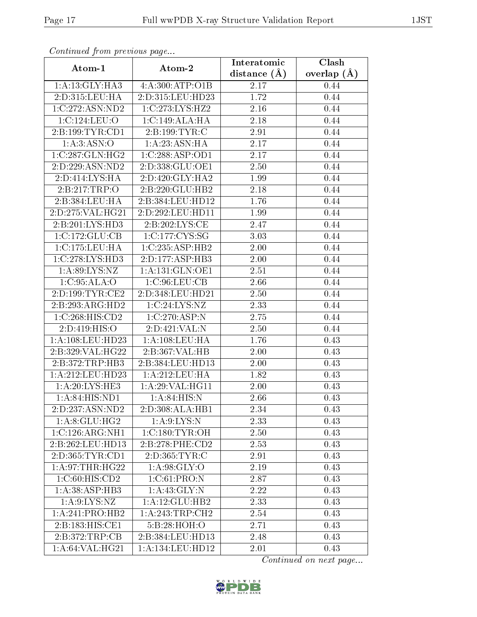| Continuea from previous page |                    | Interatomic    | Clash         |
|------------------------------|--------------------|----------------|---------------|
| Atom-1                       | Atom-2             | distance $(A)$ | overlap $(A)$ |
| 1: A:13: GLY:HA3             | 4:A:300:ATP:O1B    | 2.17           | 0.44          |
| 2:D:315:LEU:HA               | 2:D:315:LEU:HD23   | 1.72           | 0.44          |
| 1:C:272:ASN:ND2              | 1:C:273:LYS:HZ2    | 2.16           | 0.44          |
| 1: C: 124: LEU: O            | 1:C:149:ALA:HA     | 2.18           | 0.44          |
| 2:B:199:TYR:CD1              | 2:B:199:TYR:C      | 2.91           | 0.44          |
| 1: A:3: ASN:O                | 1: A: 23: ASN: HA  | 2.17           | 0.44          |
| 1:C:287:GLN:HG2              | 1:C:288:ASP:OD1    | 2.17           | 0.44          |
| 2:D:229:ASN:ND2              | 2:D:338:GLU:OE1    | 2.50           | 0.44          |
| 2:D:414:LYS:HA               | 2:D:420:GLY:HA2    | 1.99           | 0.44          |
| 2:B:217:TRP:O                | 2:B:220:GLU:HB2    | 2.18           | 0.44          |
| 2:B:384:LEU:HA               | 2:B:384:LEU:HD12   | 1.76           | 0.44          |
| 2:D:275:VAL:HG21             | 2:D:292:LEU:HD11   | 1.99           | 0.44          |
| 2:B:201:LYS:HD3              | 2:B:202:LYS:CE     | 2.47           | 0.44          |
| 1:C:172:GLU:CB               | 1:C:177:CYS:SG     | 3.03           | 0.44          |
| 1:C:175:LEU:HA               | 1:C:235:ASP:HB2    | 2.00           | 0.44          |
| 1:C:278:LYS:HD3              | 2:D:177:ASP:HB3    | 2.00           | 0.44          |
| 1: A:89: LYS: NZ             | 1: A:131: GLN:OE1  | 2.51           | 0.44          |
| 1:C:95:ALA:O                 | 1:C:96:LEU:CB      | 2.66           | 0.44          |
| 2:D:199:TYR:CE2              | 2:D:348:LEU:HD21   | 2.50           | 0.44          |
| 2:B:293:ARG:HD2              | 1:C:24:LYS:NZ      | 2.33           | 0.44          |
| 1:C:268:HIS:CD2              | 1:C:270:ASP:N      | 2.75           | 0.44          |
| 2:D:419:HIS:O                | 2:D:421:VAL:N      | 2.50           | 0.44          |
| 1:A:108:LEU:HD23             | 1: A: 108: LEU: HA | 1.76           | 0.43          |
| 2:B:329:VAL:HG22             | 2:B:367:VAL:HB     | 2.00           | 0.43          |
| 2: B:372:TRP:HB3             | 2:B:384:LEU:HD13   | 2.00           | 0.43          |
| 1:A:212:LEU:HD23             | 1: A:212:LEU:HA    | 1.82           | 0.43          |
| 1:A:20:LYS:HE3               | 1:A:29:VAL:HG11    | 2.00           | 0.43          |
| 1: A:84: HIS: ND1            | 1:A:84:HIS:N       | 2.66           | 0.43          |
| 2:D:237:ASN:ND2              | 2:D:308:ALA:HB1    | 2.34           | 0.43          |
| 1: A:8: GLU:HG2              | 1: A:9: LYS: N     | 2.33           | 0.43          |
| 1:C:126:ARG:NH1              | 1:C:180:TYR:OH     | 2.50           | 0.43          |
| 2:B:262:LEU:HD13             | 2:B:278:PHE:CD2    | 2.53           | 0.43          |
| 2:D:365:TYR:CD1              | 2:D:365:TYR:C      | 2.91           | 0.43          |
| 1:A:97:THR:HG22              | 1: A:98: GLY:O     | 2.19           | 0.43          |
| 1:C:60:HIS:CD2               | 1:C:61:PRO:N       | 2.87           | 0.43          |
| 1:A:38:ASP:HB3               | 1:A:43:GLY:N       | 2.22           | 0.43          |
| 1: A:9: LYS: NZ              | 1: A: 12: GLU: HB2 | 2.33           | 0.43          |
| 1:A:241:PRO:HB2              | 1:A:243:TRP:CH2    | 2.54           | 0.43          |
| 2:B:183:HIS:CE1              | 5:B:28:HOH:O       | 2.71           | 0.43          |
| 2:B:372:TRP:CB               | 2:B:384:LEU:HD13   | 2.48           | 0.43          |
| 1: A:64:VAL:HG21             | 1:A:134:LEU:HD12   | 2.01           | 0.43          |

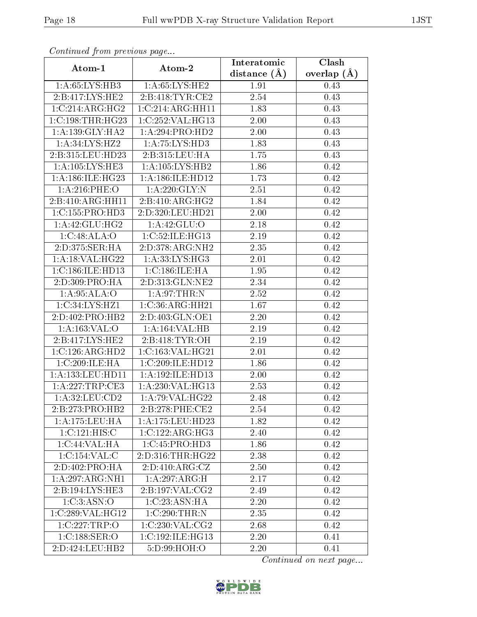| Commuca from previous page   |                              | Interatomic    | $\overline{\text{Clash}}$ |
|------------------------------|------------------------------|----------------|---------------------------|
| Atom-1                       | Atom-2                       | distance $(A)$ | overlap $(\AA)$           |
| 1: A:65: LYS:HB3             | 1: A:65:LYS:HE2              | 1.91           | 0.43                      |
| 2:B:417:LYS:HE2              | 2:B:418:TYR:CE2              | 2.54           | 0.43                      |
| 1:C:214:ARG:HG2              | 1:C:214:ARG:HH11             | 1.83           | 0.43                      |
| 1:C:198:THR:HG23             | 1:C:252:VAL:HG13             | 2.00           | 0.43                      |
| 1: A: 139: GLY: HA2          | 1:A:294:PRO:HD2              | $2.00\,$       | 0.43                      |
| 1: A:34: LYS: HZ2            | 1:A:75:LYS:HD3               | 1.83           | 0.43                      |
| 2:B:315:LEU:HD23             | 2:B:315:LEU:HA               | 1.75           | 0.43                      |
| 1: A: 105: LYS: HE3          | $1:A:105:LYS:H\overline{B2}$ | 1.86           | 0.42                      |
| 1: A:186: ILE:HG23           | 1: A:186: ILE: HD12          | 1.73           | 0.42                      |
| $1: A:216:$ PHE:O            | 1:A:220:GLY:N                | 2.51           | 0.42                      |
| 2:B:410:ARG:HH11             | 2:B:410:ARG:HG2              | 1.84           | 0.42                      |
| 1: C: 155: PRO: HD3          | 2:D:320:LEU:HD21             | 2.00           | 0.42                      |
| 1: A:42: GLU: HG2            | 1:A:42:GLU:O                 | 2.18           | 0.42                      |
| 1:C:48:ALA:O                 | 1:C:52:ILE:HG13              | 2.19           | 0.42                      |
| 2:D:375:SER:HA               | 2:D:378:ARG:NH2              | 2.35           | 0.42                      |
| 1:A:18:VAL:HG22              | 1: A: 33: LYS: HG3           | 2.01           | 0.42                      |
| 1:C:186:ILE:HD13             | 1:C:186:ILE:HA               | 1.95           | 0.42                      |
| 2:D:309:PRO:HA               | 2:D:313:GLN:NE2              | 2.34           | 0.42                      |
| 1:A:95:ALA:O                 | 1: A:97:THR:N                | 2.52           | 0.42                      |
| 1:C:34:LYS:HZ1               | 1:C:36:ARG:HH21              | 1.67           | 0.42                      |
| 2:D:402:PRO:HB2              | 2:D:403:GLN:OE1              | 2.20           | 0.42                      |
| 1: A: 163: VAL: O            | 1:A:164:VAL:HB               | 2.19           | 0.42                      |
| 2:B:417:LYS:HE2              | 2: B: 418: TYR: OH           | 2.19           | 0.42                      |
| 1:C:126:ARG:HD2              | 1:C:163:VAL:HG21             | 2.01           | 0.42                      |
| 1:C:209:ILE:HA               | 1:C:209:ILE:HD12             | 1.86           | 0.42                      |
| 1:A:133:LEU:HD11             | 1:A:192:ILE:HD13             | $2.00\,$       | 0.42                      |
| 1:A:227:TRP:CE3              | 1: A:230: VAL:HG13           | 2.53           | 0.42                      |
| 1:A:32:LEU:CD2               | 1: A:79: VAL:HG22            | 2.48           | 0.42                      |
| 2:B:273:PRO:HB2              | 2:B:278:PHE:CE2              | 2.54           | 0.42                      |
| 1:A:175:LEU:HA               | 1:A:175:LEU:HD23             | 1.82           | 0.42                      |
| 1:C:121:HIS:C                | 1:C:122:ARG:HG3              | 2.40           | 0.42                      |
| 1:C:44:VAL:HA                | 1:C:45:PRO:HD3               | 1.86           | 0.42                      |
| 1:C:154:VAL:CC               | 2:D:316:THR:HG22             | 2.38           | 0.42                      |
| 2:D:402:PRO:HA               | 2: D: 410: ARG: CZ           | 2.50           | 0.42                      |
| 1:A:297:ARG:NH1              | 1:A:297:ARG:H                | 2.17           | 0.42                      |
| 2:B:194:LYS:HE3              | 2:B:197:VAL:CG2              | 2.49           | 0.42                      |
| 1:C:3:ASN:O                  | 1:C:23:ASN:HA                | 2.20           | 0.42                      |
| 1:C:289:VAL:HG12             | 1:C:290:THR:N                | 2.35           | 0.42                      |
| 1:C:227:TRP:O                | 1:C:230:VAL:CG2              | 2.68           | 0.42                      |
| 1:C:188:SER:O                | 1:C:192:ILE:HG13             | 2.20           | 0.41                      |
| $2:D:424:LEU:H\overline{B2}$ | 5:D:99:HOH:O                 | 2.20           | 0.41                      |

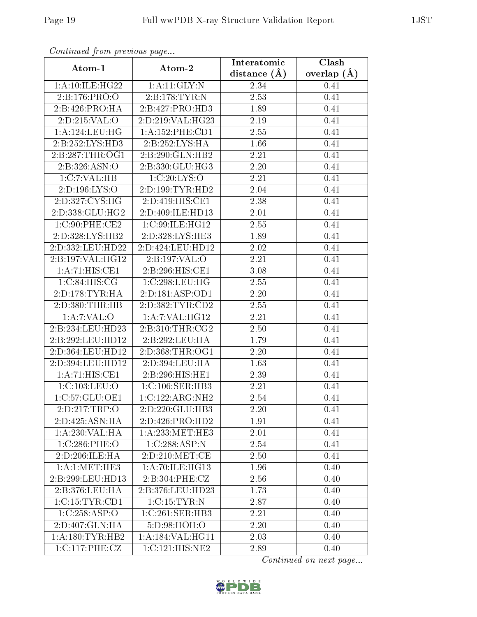| Continuation providuo paga           |                     | Interatomic       | Clash           |
|--------------------------------------|---------------------|-------------------|-----------------|
| Atom-1                               | Atom-2              | distance $(A)$    | overlap $(\AA)$ |
| 1:A:10:ILE:HG22                      | 1:A:11:GLY:N        | 2.34              | 0.41            |
| 2:B:176:PRO:O                        | 2:B:178:TYR:N       | 2.53              | 0.41            |
| 2:B:426:PRO:HA                       | 2:B:427:PRO:HD3     | 1.89              | 0.41            |
| 2: D:215: VAL:O                      | 2:D:219:VAL:HG23    | 2.19              | 0.41            |
| 1:A:124:LEU:HG                       | 1:A:152:PHE:CD1     | 2.55              | 0.41            |
| 2:B:252:LYS:HD3                      | 2:B:252:LYS:HA      | 1.66              | 0.41            |
| 2:B:287:THR:OG1                      | 2:B:290:GLN:HB2     | 2.21              | 0.41            |
| 2:B:326:ASN:O                        | 2:B:330:GLU:HG3     | 2.20              | 0.41            |
| 1:C:7:VAL:HB                         | 1:C:20:LYS:O        | 2.21              | 0.41            |
| 2:D:196:LYS:O                        | 2:D:199:TYR:HD2     | 2.04              | 0.41            |
| 2:D:327:CYS:HG                       | 2:D:419:HIS:CE1     | 2.38              | 0.41            |
| 2:D:338:GLU:HG2                      | 2:D:409:ILE:HD13    | 2.01              | 0.41            |
| 1:C:90:PHE:CE2                       | 1:C:99:ILE:HG12     | 2.55              | 0.41            |
| 2:D:328:LYS:HB2                      | 2:D:328:LYS:HE3     | 1.89              | 0.41            |
| 2:D:332:LEU:HD22                     | 2:D:424:LEU:HD12    | $\overline{2}.02$ | 0.41            |
| 2:B:197:VAL:HG12                     | 2:B:197:VAL:O       | 2.21              | 0.41            |
| 1: A:71: HIS: CE1                    | 2:B:296:HIS:CE1     | 3.08              | 0.41            |
| 1:C:84:HIS:CG                        | 1:C:298:LEU:HG      | 2.55              | 0.41            |
| 2:D:178:TYR:HA                       | 2:D:181:ASP:OD1     | 2.20              | 0.41            |
| 2:D:380:THR:HB                       | 2: D: 382: TYR: CD2 | 2.55              | 0.41            |
| 1:A:7:VAL:O                          | 1:A:7:VAL:HG12      | 2.21              | 0.41            |
| 2:B:234:LEU:HD23                     | 2: B:310: THR:CG2   | 2.50              | 0.41            |
| 2:B:292:LEU:HD12                     | 2:B:292:LEU:HA      | 1.79              | 0.41            |
| 2:D:364:LEU:HD12                     | 2:D:368:THR:OG1     | 2.20              | 0.41            |
| 2:D:394:LEU:HD12                     | 2:D:394:LEU:HA      | 1.63              | 0.41            |
| 1:A:71:HIS:CE1                       | 2:B:296:HIS:HE1     | 2.39              | 0.41            |
| 1: C: 103: LEU: O                    | 1: C: 106: SER: HB3 | 2.21              | 0.41            |
| 1:C:57:GLU:OE1                       | 1:C:122:ARG:NH2     | 2.54              | 0.41            |
| 2:D:217:TRP:O                        | 2:D:220:GLU:HB3     | 2.20              | 0.41            |
| 2:D:425:ASN:HA                       | 2:D:426:PRO:HD2     | 1.91              | 0.41            |
| 1:A:230:VAL:HA                       | 1: A:233:MET:HE3    | 2.01              | 0.41            |
| 1:C:286:PHE:O                        | 1:C:288:ASP:N       | 2.54              | 0.41            |
| 2:D:206:ILE:HA                       | 2:D:210:MET:CE      | 2.50              | 0.41            |
| 1:A:1:MET:HE3                        | 1:A:70:ILE:HG13     | 1.96              | 0.40            |
| 2:B:299:LEU:HD13                     | 2:B:304:PHE:CZ      | 2.56              | 0.40            |
| $2:B:376:\overline{\textrm{LEU:HA}}$ | 2:B:376:LEU:HD23    | 1.73              | 0.40            |
| 1:C:15:TYR:CD1                       | 1:C:15:TYR:N        | 2.87              | 0.40            |
| 1:C:258:ASP:O                        | 1:C:261:SER:HB3     | 2.21              | 0.40            |
| 2:D:407:GLN:HA                       | 5:D:98:HOH:O        | 2.20              | 0.40            |
| 1: A: 180: TYR: HB2                  | 1: A:184: VAL:HGI1  | 2.03              | 0.40            |
| 1:C:117:PHE:CZ                       | 1:C:121:HIS:NE2     | 2.89              | 0.40            |

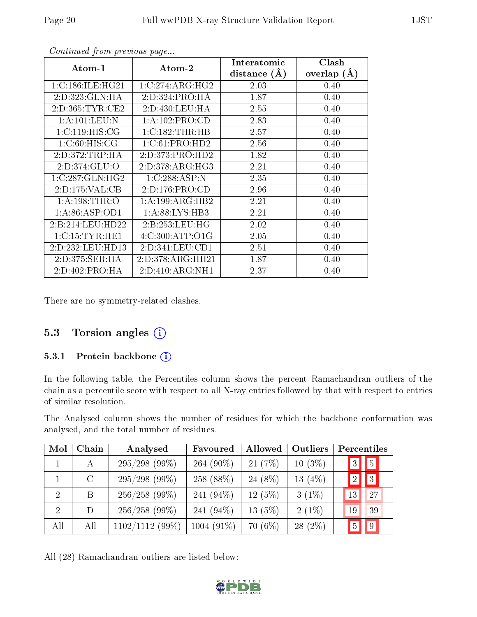| Atom-1              | Atom-2              | Interatomic<br>distance $(\AA)$ | Clash<br>overlap $(A)$ |
|---------------------|---------------------|---------------------------------|------------------------|
| 1:C:186:ILE:HG21    | 1:C:274:ARG:HG2     | 2.03                            | 0.40                   |
| 2:D:323:GLN:HA      | 2:D:324:PRO:HA      | 1.87                            | 0.40                   |
| 2: D: 365: TYR: CE2 | 2:D:430:LEU:HA      | 2.55                            | 0.40                   |
| 1: A: 101: LEU: N   | 1:A:102:PRO:CD      | 2.83                            | 0.40                   |
| 1:C:119:HIS:CG      | 1:C:182:THR:HB      | 2.57                            | 0.40                   |
| 1:C:60:HIS:CG       | 1:C:61:PRO:HD2      | 2.56                            | 0.40                   |
| 2:D:372:TRP:HA      | 2:D:373:PRO:HD2     | 1.82                            | 0.40                   |
| 2:D:374:GLU:O       | 2:D:378:ARG:HG3     | 2.21                            | 0.40                   |
| 1:C:287:GLN:HG2     | 1:C:288:ASP:N       | 2.35                            | 0.40                   |
| 2:D:175:VAL:CB      | 2:D:176:PRO:CD      | 2.96                            | 0.40                   |
| 1: A: 198: THR:O    | 1: A: 199: ARG: HB2 | 2.21                            | 0.40                   |
| 1: A:86: ASP:OD1    | 1: A:88: LYS:HB3    | 2.21                            | 0.40                   |
| 2:B:214:LEU:HD22    | 2: B: 253: LEU: HG  | 2.02                            | 0.40                   |
| 1:C:15:TYR:HE1      | 4:C:300:ATP:O1G     | 2.05                            | 0.40                   |
| 2:D:232:LEU:HD13    | 2:D:341:LEU:CD1     | 2.51                            | 0.40                   |
| 2:D:375:SER:HA      | 2:D:378:ARG:HH21    | 1.87                            | 0.40                   |
| 2:D:402:PRO:HA      | 2:D:410:ARG:NH1     | 2.37                            | 0.40                   |

There are no symmetry-related clashes.

#### 5.3 Torsion angles (i)

#### 5.3.1 Protein backbone (i)

In the following table, the Percentiles column shows the percent Ramachandran outliers of the chain as a percentile score with respect to all X-ray entries followed by that with respect to entries of similar resolution.

The Analysed column shows the number of residues for which the backbone conformation was analysed, and the total number of residues.

| Mol            | Chain   | Analysed          | Favoured     | Allowed   | Outliers  | Percentiles          |
|----------------|---------|-------------------|--------------|-----------|-----------|----------------------|
|                | А       | $295/298$ (99%)   | 264 (90%)    | 21(7%)    | $10(3\%)$ | 5 <br> 3             |
|                | $\rm C$ | $295/298$ (99%)   | 258 (88%)    | 24 (8%)   | 13 $(4%)$ | 3 <br>$\overline{2}$ |
| 2              | B       | $256/258$ (99%)   | 241 $(94\%)$ | $12(5\%)$ | $3(1\%)$  | 27<br>13             |
| $\overline{2}$ | D       | $256/258$ (99%)   | 241 $(94\%)$ | $13(5\%)$ | $2(1\%)$  | 39<br>19             |
| All            | All     | $1102/1112(99\%)$ | $1004(91\%)$ | $70(6\%)$ | $28(2\%)$ | 9<br>$\overline{5}$  |

All (28) Ramachandran outliers are listed below:

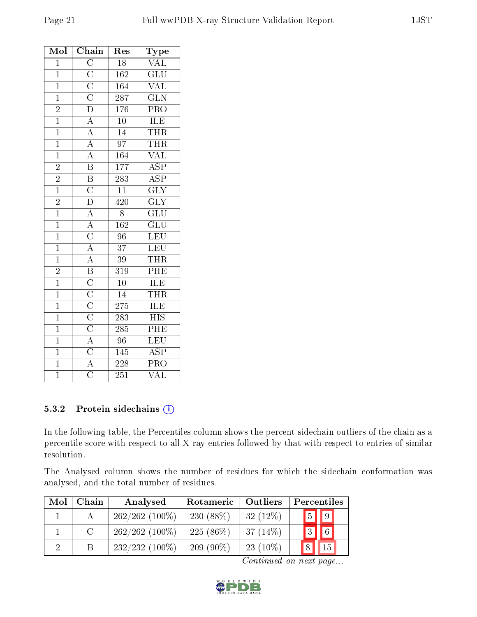| Mol            | Chain                                                                                                                                                                                                                                                                                      | Res              | <b>Type</b>               |
|----------------|--------------------------------------------------------------------------------------------------------------------------------------------------------------------------------------------------------------------------------------------------------------------------------------------|------------------|---------------------------|
| $\overline{1}$ |                                                                                                                                                                                                                                                                                            | $\overline{18}$  | <b>VAL</b>                |
| $\mathbf{1}$   |                                                                                                                                                                                                                                                                                            | 162              | $\overline{\text{GLU}}$   |
| $\mathbf{1}$   |                                                                                                                                                                                                                                                                                            | 164              | $\overline{\text{VAL}}$   |
| $\overline{1}$ |                                                                                                                                                                                                                                                                                            | $\overline{287}$ | $\overline{\text{GLN}}$   |
| $\overline{2}$ |                                                                                                                                                                                                                                                                                            | 176              | PRO                       |
| $\overline{1}$ | $\overline{C}\ \overline{C}\ \overline{C}\ \overline{C}\ \overline{D}\ \overline{A}\ \overline{A}\ \overline{A}\ \overline{B}$                                                                                                                                                             | $\overline{10}$  | <b>ILE</b>                |
| $\overline{1}$ |                                                                                                                                                                                                                                                                                            | 14               | <b>THR</b>                |
| $\overline{1}$ |                                                                                                                                                                                                                                                                                            | $\overline{97}$  | THR                       |
| $\overline{1}$ |                                                                                                                                                                                                                                                                                            | 164              | $\overline{\text{VAL}}$   |
| $\overline{2}$ |                                                                                                                                                                                                                                                                                            | 177              | $\overline{\text{ASP}}$   |
| $\overline{2}$ |                                                                                                                                                                                                                                                                                            | $\overline{283}$ | $\overline{\text{ASP}}$   |
| $\overline{1}$ |                                                                                                                                                                                                                                                                                            | $\overline{11}$  | $\overline{\text{GLY}}$   |
| $\frac{2}{1}$  |                                                                                                                                                                                                                                                                                            | $\overline{420}$ | $\overline{\text{GLY}}$   |
|                |                                                                                                                                                                                                                                                                                            | $\overline{8}$   | $\overline{\text{GLU}}$   |
| $\overline{1}$ |                                                                                                                                                                                                                                                                                            | 162              | $\overline{\text{GLU}}$   |
| $\overline{1}$ |                                                                                                                                                                                                                                                                                            | $\overline{96}$  | LEU                       |
| $\overline{1}$ |                                                                                                                                                                                                                                                                                            | $\overline{37}$  | LEU                       |
| $\overline{1}$ |                                                                                                                                                                                                                                                                                            | $\overline{39}$  | THR                       |
| $\overline{2}$ |                                                                                                                                                                                                                                                                                            | $\overline{319}$ | PHE                       |
| $\mathbf{1}$   |                                                                                                                                                                                                                                                                                            | $\overline{10}$  | <b>ILE</b>                |
| $\overline{1}$ |                                                                                                                                                                                                                                                                                            | $\overline{14}$  | <b>THR</b>                |
| $\overline{1}$ |                                                                                                                                                                                                                                                                                            | $275\,$          | <b>ILE</b>                |
| $\overline{1}$ |                                                                                                                                                                                                                                                                                            | $\overline{283}$ | $\overline{\mathrm{HIS}}$ |
| $\mathbf{1}$   | $\frac{\overline{B} \cdot \overline{C} \cdot \overline{D} \cdot \overline{A} \cdot \overline{C} \cdot \overline{A} \cdot \overline{B} \cdot \overline{C} \cdot \overline{C} \cdot \overline{C} \cdot \overline{C} \cdot \overline{A} \cdot \overline{C}}{\overline{A} \cdot \overline{C}}$ | 285              | PHE                       |
| $\overline{1}$ |                                                                                                                                                                                                                                                                                            | $\overline{96}$  | LEU                       |
| $\overline{1}$ |                                                                                                                                                                                                                                                                                            | 145              | $\overline{\text{ASP}}$   |
| $\overline{1}$ |                                                                                                                                                                                                                                                                                            | 228              | $\overline{\text{PRO}}$   |
| $\overline{1}$ |                                                                                                                                                                                                                                                                                            | $\overline{251}$ | $\overline{\text{VAL}}$   |

#### 5.3.2 Protein sidechains (i)

In the following table, the Percentiles column shows the percent sidechain outliers of the chain as a percentile score with respect to all X-ray entries followed by that with respect to entries of similar resolution.

The Analysed column shows the number of residues for which the sidechain conformation was analysed, and the total number of residues.

| Mol      | Chain                       | Analysed         | Rotameric   | Outliers   | Percentiles        |
|----------|-----------------------------|------------------|-------------|------------|--------------------|
|          |                             | $262/262$ (100%) | $230(88\%)$ | 32(12%)    | $\boxed{5}$   9    |
|          | $\mathcal{C}_{\mathcal{C}}$ | $262/262$ (100%) | 225 (86%)   | $37(14\%)$ | $\mathbf{1}_3$   6 |
| $\Omega$ |                             | $232/232(100\%)$ | $209(90\%)$ | $23(10\%)$ |                    |

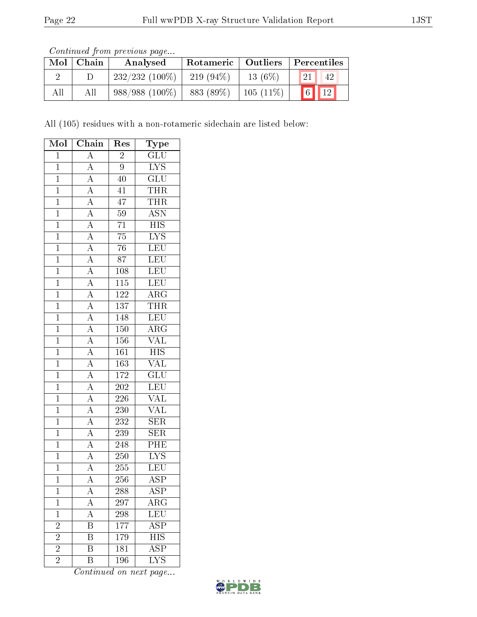| Continued from previous page |  |  |
|------------------------------|--|--|

| Mol | Chain | Analysed         | Rotameric   Outliers   Percentiles |             |                          |
|-----|-------|------------------|------------------------------------|-------------|--------------------------|
|     |       | $232/232(100\%)$ | 219 $(94\%)$                       | $13(6\%)$   | 21<br>42                 |
| All |       | $988/988(100\%)$ | 883 (89%)                          | $105(11\%)$ | $\boxed{6}$ $\boxed{12}$ |

All (105) residues with a non-rotameric sidechain are listed below:

| Mol            | Chain                                                                   | Res              | Type                      |
|----------------|-------------------------------------------------------------------------|------------------|---------------------------|
| $\overline{1}$ | $\overline{A}$                                                          | $\overline{2}$   | $\overline{\mathrm{GLU}}$ |
| $\mathbf{1}$   | $\overline{A}$                                                          | 9                | IYS                       |
| $\overline{1}$ | $\overline{A}$                                                          | $\overline{40}$  | $\overline{\text{GLU}}$   |
| $\overline{1}$ | $\overline{A}$                                                          | 41               | THR                       |
| $\overline{1}$ | $\overline{A}$                                                          | $\overline{47}$  | <b>THR</b>                |
| $\overline{1}$ | $\frac{\overline{A}}{\overline{A}}$                                     | $\overline{59}$  | <b>ASN</b>                |
| $\overline{1}$ |                                                                         | $\overline{71}$  | $\overline{\mathrm{HIS}}$ |
| $\overline{1}$ | $\overline{A}$                                                          | $\overline{75}$  | $\overline{\text{LYS}}$   |
| $\overline{1}$ | $\overline{A}$                                                          | $\overline{76}$  | LEU                       |
| $\overline{1}$ | $\frac{\overline{A}}{A}$                                                | $\overline{87}$  | LEU                       |
| $\mathbf{1}$   |                                                                         | 108              | $\overline{\text{LEU}}$   |
| $\mathbf{1}$   | $\frac{\overline{A}}{\overline{A}}$                                     | $\overline{115}$ | LEU                       |
| $\overline{1}$ |                                                                         | $\overline{122}$ | $\overline{\rm ARG}$      |
| $\overline{1}$ |                                                                         | 137              | <b>THR</b>                |
| $\overline{1}$ | $\frac{\overline{A}}{\overline{A}}$ $\frac{\overline{A}}{\overline{A}}$ | 148              | LEU                       |
| $\overline{1}$ |                                                                         | 150              | $\rm{ARG}$                |
| $\mathbf{1}$   |                                                                         | 156              | $\overline{\text{VAL}}$   |
| $\overline{1}$ |                                                                         | 161              | $\overline{HIS}$          |
| $\overline{1}$ | $\frac{\overline{A}}{\overline{A}}$                                     | 163              | $\overline{\text{VAL}}$   |
| $\overline{1}$ | $\frac{\overline{A}}{\overline{A}}$                                     | 172              | $\overline{\text{GLU}}$   |
| $\overline{1}$ |                                                                         | $202\,$          | LEU                       |
| $\mathbf{1}$   | $\frac{\overline{A}}{\overline{A}}$                                     | 226              | $\overline{\text{VAL}}$   |
| $\overline{1}$ |                                                                         | 230              | <b>VAL</b>                |
| $\overline{1}$ | $\overline{A}$                                                          | 232              | $\overline{\text{SER}}$   |
| $\overline{1}$ | $\overline{A}$                                                          | 239              | $\overline{\text{SER}}$   |
| $\mathbf{1}$   | $\overline{A}$                                                          | $248\,$          | PHE                       |
| $\overline{1}$ | $\overline{A}$                                                          | $250\,$          | $\overline{\text{LYS}}$   |
| $\overline{1}$ | $\overline{A}$                                                          | 255              | $\overline{\text{LEU}}$   |
| $\overline{1}$ | $\overline{\rm A}$                                                      | 256              | $\overline{\text{ASP}}$   |
| $\mathbf 1$    | Α                                                                       | 288              | ${\rm ASP}$               |
| $\mathbf 1$    | A                                                                       | 297              | ${\rm ARG}$               |
| $\mathbf 1$    | $\overline{\rm A}$                                                      | 298              | $\overline{\text{LEU}}$   |
| $\overline{2}$ | B                                                                       | 177              | $\overline{\text{ASP}}$   |
| $\overline{2}$ | B                                                                       | 179              | $\overline{\text{HIS}}$   |
| $\overline{2}$ | $\overline{\mathrm{B}}$                                                 | 181              | $\overline{\text{ASP}}$   |
| $\overline{2}$ | Β                                                                       | 196              | <b>LYS</b>                |

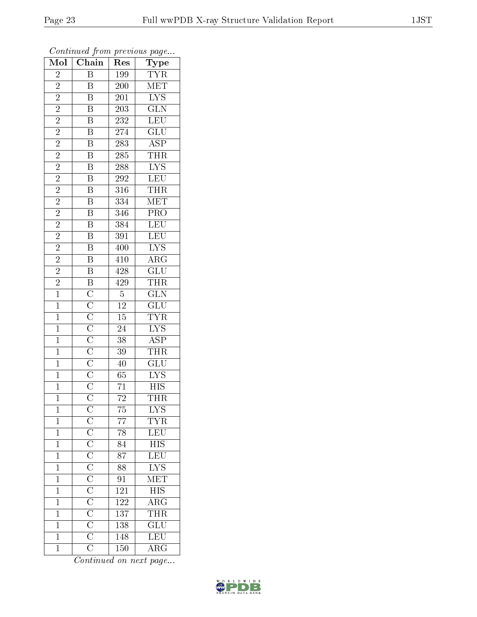| $\overline{\text{Mol}}$ | $\boldsymbol{\mathsf{v}}$<br>Chain                                                                                                                                   | ı.<br>Res        | $\mathbf{r}$<br>$\cdot$<br>Type                       |
|-------------------------|----------------------------------------------------------------------------------------------------------------------------------------------------------------------|------------------|-------------------------------------------------------|
| $\overline{2}$          | $\overline{\mathbf{B}}$                                                                                                                                              | 199              | $\overline{\text{TY}}\text{R}$                        |
| $\overline{2}$          | B                                                                                                                                                                    | 200              | <b>MET</b>                                            |
| $\overline{2}$          | Β                                                                                                                                                                    | 201              | $\overline{\text{LYS}}$                               |
| $\overline{2}$          | $\overline{B}$                                                                                                                                                       | $\overline{203}$ | $\overline{\text{GLN}}$                               |
| $\overline{2}$          | $\overline{B}$                                                                                                                                                       | 232              | <b>LEU</b>                                            |
| $\overline{2}$          | $\overline{\mathrm{B}}$                                                                                                                                              | 274              | $\overline{\text{GLU}}$                               |
| $\overline{2}$          | $\overline{\mathrm{B}}$                                                                                                                                              | $28\overline{3}$ | $\overline{\text{ASP}}$                               |
| $\overline{2}$          | $\overline{\mathrm{B}}$                                                                                                                                              | 285              | THR                                                   |
| $\overline{c}$          | $\overline{B}$                                                                                                                                                       | 288              | $\overline{\text{LYS}}$                               |
| $\overline{2}$          | $\overline{\mathbf{B}}$                                                                                                                                              | 292              | LEU                                                   |
| $\overline{2}$          | $\overline{\mathrm{B}}$                                                                                                                                              | 316              | THR                                                   |
| $\overline{2}$          | $\overline{\mathrm{B}}$                                                                                                                                              | $\overline{334}$ | MET                                                   |
| $\overline{2}$          | $\overline{B}$                                                                                                                                                       | 346              | PRO                                                   |
| $\overline{c}$          | B                                                                                                                                                                    | $\overline{384}$ | LEU                                                   |
| $\overline{2}$          | $\overline{\mathrm{B}}$                                                                                                                                              | $\overline{391}$ | LEU                                                   |
| $\overline{2}$          | $\overline{\mathbf{B}}$                                                                                                                                              | 400              | $\overline{\text{LYS}}$                               |
| $\overline{2}$          | $\overline{B}$                                                                                                                                                       | 410              | $\overline{\rm ARG}$                                  |
| $\overline{2}$          | $\overline{B}$                                                                                                                                                       | 428              | $\overline{\text{GLU}}$                               |
| $\overline{2}$          |                                                                                                                                                                      | 429              | <b>THR</b>                                            |
| $\overline{1}$          | $\overline{B}$ $\overline{C}$ $\overline{C}$ $\overline{C}$ $\overline{C}$ $\overline{C}$ $\overline{C}$ $\overline{C}$ $\overline{C}$ $\overline{C}$ $\overline{C}$ | $\overline{5}$   | $\frac{\overline{\text{GLN}}}{\text{GLU}}$            |
| $\overline{1}$          |                                                                                                                                                                      | $\overline{12}$  |                                                       |
| $\overline{1}$          |                                                                                                                                                                      | $\overline{15}$  | $\frac{\text{TYR}}{\text{LYS}}$                       |
| $\mathbf{1}$            |                                                                                                                                                                      | $\overline{24}$  |                                                       |
| $\overline{1}$          |                                                                                                                                                                      | 38               | $\overline{\text{ASP}}$                               |
| $\mathbf{1}$            |                                                                                                                                                                      | $\overline{3}9$  | <b>THR</b>                                            |
| $\overline{1}$          |                                                                                                                                                                      | 40               | $\overline{\text{GLU}}$                               |
| $\mathbf{1}$            |                                                                                                                                                                      | $\overline{65}$  | $\overline{\text{LYS}}$                               |
| $\mathbf{1}$            |                                                                                                                                                                      | 71               | $\overline{HIS}$                                      |
| $\overline{1}$          |                                                                                                                                                                      | $\overline{72}$  | <b>THR</b>                                            |
| $\mathbf 1$             |                                                                                                                                                                      | 75               | <b>LYS</b>                                            |
| $\mathbf{1}$            |                                                                                                                                                                      | $\overline{77}$  | $\overline{\text{YR}}$                                |
| $\overline{1}$          |                                                                                                                                                                      | 78               | <b>LEU</b>                                            |
| $\mathbf{1}$            |                                                                                                                                                                      | 84               | $\overline{\rm HIS}$                                  |
| $\overline{1}$          |                                                                                                                                                                      | $\overline{87}$  | LEU                                                   |
| $\mathbf 1$             |                                                                                                                                                                      | 88               | $\overline{\text{LYS}}$                               |
| $\overline{1}$          |                                                                                                                                                                      | $\overline{91}$  | MET                                                   |
| $\mathbf{1}$            |                                                                                                                                                                      | 121              | $\frac{\overline{\text{HIS}}}{\overline{\text{ARG}}}$ |
| $\mathbf{1}$            |                                                                                                                                                                      | $\overline{122}$ |                                                       |
| $\mathbf 1$             |                                                                                                                                                                      | 137              | $\frac{\overline{\text{THR}}}{\text{GLU}}$            |
| $\mathbf 1$             |                                                                                                                                                                      | 138              |                                                       |
| $\mathbf 1$             |                                                                                                                                                                      | 148              | LEU                                                   |
| $\mathbf{1}$            |                                                                                                                                                                      | 150              | $\overline{\rm{ARG}}$                                 |

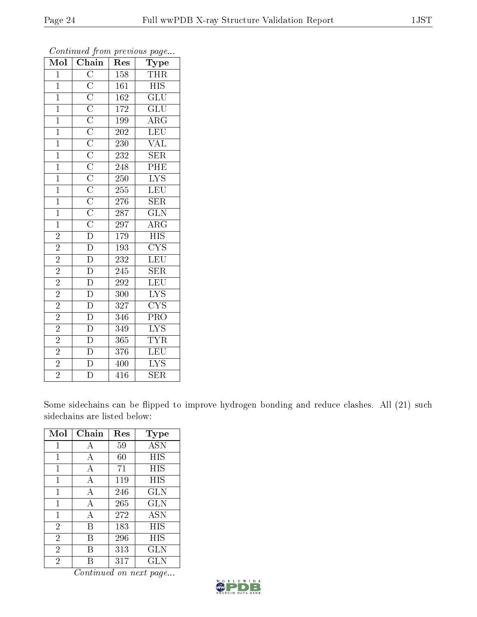| Mol            | $\overline{\text{C}}$ hain | Res              | Type                    |
|----------------|----------------------------|------------------|-------------------------|
| $\overline{1}$ |                            | 158              | <b>THR</b>              |
| $\mathbf{1}$   |                            | 161              | <b>HIS</b>              |
| $\overline{1}$ |                            | $\overline{162}$ | $\overline{\text{GLU}}$ |
| $\overline{1}$ |                            | 172              | $\overline{\text{GLU}}$ |
| $\overline{1}$ |                            | 199              | $\overline{\rm{ARG}}$   |
| $\overline{1}$ |                            | 202              | LEU                     |
| $\overline{1}$ |                            | 230              | <b>VAL</b>              |
| $\mathbf{1}$   |                            | 232              | $\overline{\text{SER}}$ |
| $\overline{1}$ |                            | 248              | PHE                     |
| $\overline{1}$ |                            | 250              | $\overline{\text{LYS}}$ |
| $\mathbf{1}$   |                            | $255\,$          | <b>LEU</b>              |
| $\overline{1}$ |                            | 276              | $\overline{\text{SER}}$ |
| $\overline{1}$ |                            | $\overline{287}$ | $\overline{\text{GLN}}$ |
| $\mathbf{1}$   |                            | 297              | $AR\overline{G}$        |
| $\overline{2}$ |                            | 179              | $\overline{\text{HIS}}$ |
| $\overline{2}$ |                            | 193              | <b>CYS</b>              |
| $\overline{2}$ |                            | 232              | $\overline{\text{LEU}}$ |
| $\overline{2}$ | $\overline{\rm D}$         | 245              | <b>SER</b>              |
| $\overline{2}$ | $\overline{D}$             | $\overline{292}$ | LEU                     |
| $\overline{2}$ | $\overline{\mathrm{D}}$    | 300              | $\overline{\text{LYS}}$ |
| $\overline{2}$ | $\overline{\rm D}$         | $\overline{3}27$ | $\overline{\text{CYS}}$ |
| $\overline{2}$ | $\overline{\rm D}$         | 346              | PRO                     |
| $\overline{2}$ | $\overline{\rm D}$         | 349              | $\overline{\text{LYS}}$ |
| $\overline{2}$ | $\overline{D}$             | 365              | <b>TYR</b>              |
| $\overline{2}$ | $\overline{\rm D}$         | 376              | $\overline{\text{LEU}}$ |
| $\overline{2}$ | $\overline{\mathbf{D}}$    | 400              | $\overline{\text{LYS}}$ |
| $\overline{2}$ | $\overline{\rm D}$         | 416              | $\overline{\text{SER}}$ |

Some sidechains can be flipped to improve hydrogen bonding and reduce clashes. All (21) such sidechains are listed below:

| Mol            | Chain | Res    | $_{\rm Type}$ |
|----------------|-------|--------|---------------|
| 1              | А     | 59     | <b>ASN</b>    |
| $\mathbf{1}$   | А     | $60\,$ | HIS           |
| 1              | A     | 71     | HIS           |
| 1              | А     | 119    | HIS           |
| 1              | А     | 246    | <b>GLN</b>    |
| 1              | А     | 265    | <b>GLN</b>    |
| 1              | А     | 272    | ASN           |
| $\overline{2}$ | В     | 183    | HIS           |
| $\overline{2}$ | В     | 296    | HIS           |
| $\overline{2}$ | В     | 313    | <b>GLN</b>    |
| $\overline{2}$ |       | 317    | GLN           |

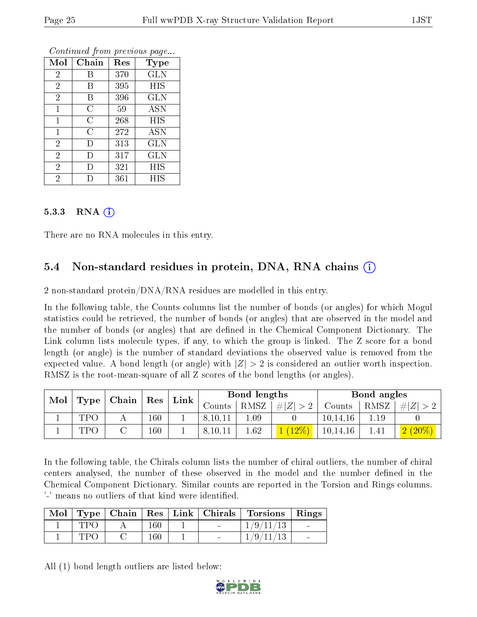|                | v                  | ×.  |             |
|----------------|--------------------|-----|-------------|
| Mol            | Chain              | Res | <b>Type</b> |
| $\sqrt{2}$     | В                  | 370 | <b>GLN</b>  |
| $\overline{2}$ | В                  | 395 | <b>HIS</b>  |
| $\overline{2}$ | В                  | 396 | <b>GLN</b>  |
| $\mathbf{1}$   | $\overline{\rm C}$ | 59  | <b>ASN</b>  |
| 1              | $\overline{C}$     | 268 | HIS         |
| $\mathbf{1}$   | $\overline{C}$     | 272 | <b>ASN</b>  |
| $\overline{2}$ | D                  | 313 | GLN         |
| $\overline{2}$ | Ð                  | 317 | <b>GLN</b>  |
| $\overline{2}$ | Ð                  | 321 | HIS         |
| $\overline{2}$ |                    | 361 | HIS         |

#### 5.3.3 RNA  $(i)$

There are no RNA molecules in this entry.

#### 5.4 Non-standard residues in protein, DNA, RNA chains (i)

2 non-standard protein/DNA/RNA residues are modelled in this entry.

In the following table, the Counts columns list the number of bonds (or angles) for which Mogul statistics could be retrieved, the number of bonds (or angles) that are observed in the model and the number of bonds (or angles) that are defined in the Chemical Component Dictionary. The Link column lists molecule types, if any, to which the group is linked. The Z score for a bond length (or angle) is the number of standard deviations the observed value is removed from the expected value. A bond length (or angle) with  $|Z| > 2$  is considered an outlier worth inspection. RMSZ is the root-mean-square of all Z scores of the bond lengths (or angles).

| Mol |                 |                                                                                                                                   | $\Gamma$ Chain |        | Link    |             | Bond lengths |          |      | Bond angles |  |
|-----|-----------------|-----------------------------------------------------------------------------------------------------------------------------------|----------------|--------|---------|-------------|--------------|----------|------|-------------|--|
|     | $\bf Type \mid$ | $\operatorname{Res}% \left( \mathcal{N}\right) \equiv\operatorname{Res}(\mathcal{N}_{0})\cap \operatorname{Res}(\mathcal{N}_{0})$ |                | Counts | RMSZ    | $\# Z  > 2$ | Counts       | RMSZ     | H  Z |             |  |
|     | TPC             |                                                                                                                                   | 160            |        | 8,10,11 | 1.09        |              | 10,14,16 | 1.19 |             |  |
|     | TPC             |                                                                                                                                   | 160            |        | 8,10,11 | 1.62        |              | 10,14,16 |      | $2(20\%)$   |  |

In the following table, the Chirals column lists the number of chiral outliers, the number of chiral centers analysed, the number of these observed in the model and the number defined in the Chemical Component Dictionary. Similar counts are reported in the Torsion and Rings columns. '-' means no outliers of that kind were identified.

|      |         |  | Mol   Type   Chain   Res   Link   Chirals   Torsions   Rings |                          |
|------|---------|--|--------------------------------------------------------------|--------------------------|
| TPO  | $160\,$ |  | 1/9/11/13                                                    | <b>Contract Contract</b> |
| TPO. | $160\,$ |  | 1/9/11/13                                                    | <b>Contract Contract</b> |

All (1) bond length outliers are listed below:

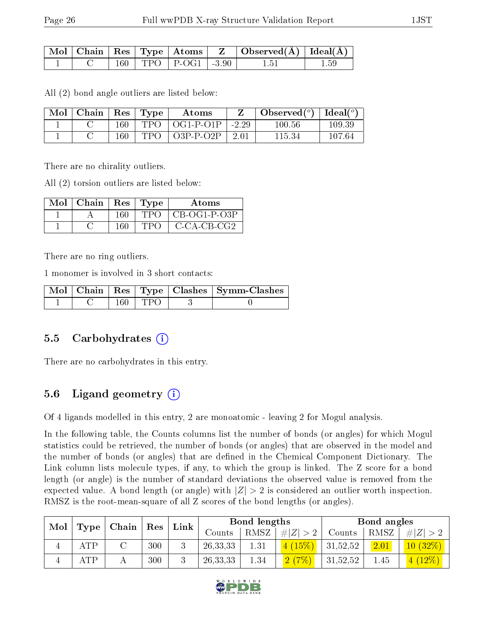|  |  |                             | $\mid$ Mol $\mid$ Chain $\mid$ Res $\mid$ Type $\mid$ Atoms $\mid$ $\mid$ Z $\mid$ Observed(Å) $\mid$ Ideal(Å) |  |
|--|--|-----------------------------|----------------------------------------------------------------------------------------------------------------|--|
|  |  | $160$   TPO   P-OG1   -3.90 |                                                                                                                |  |

All (2) bond angle outliers are listed below:

| Mol | ' Chain |     | $\vert$ Res $\vert$ Type | Atoms       |            | $\bullet$ Observed( $^o$ )   Ideal( $^o$ ) |        |
|-----|---------|-----|--------------------------|-------------|------------|--------------------------------------------|--------|
|     |         | 160 | <b>TPO</b>               | OG1-P-01P   | $1 - 2.29$ | 100.56                                     | 109.39 |
|     |         | 160 | <b>TPO</b>               | $O3P-P-O2P$ | 2.01       | 115.34                                     | 107.64 |

There are no chirality outliers.

All (2) torsion outliers are listed below:

| Mol | Chain | $\operatorname{Res}$ | $\vert$ Type | Atoms          |
|-----|-------|----------------------|--------------|----------------|
|     |       | 160                  | TPG          | $CB-OG1-P-O3P$ |
|     |       | 160                  | ח טיו י      | $C-CA-CB-CG2$  |

There are no ring outliers.

1 monomer is involved in 3 short contacts:

|  |      |        | Mol   Chain   Res   Type   Clashes   Symm-Clashes |
|--|------|--------|---------------------------------------------------|
|  | 160- | T TPO. |                                                   |

#### 5.5 Carbohydrates  $(i)$

There are no carbohydrates in this entry.

### 5.6 Ligand geometry  $(i)$

Of 4 ligands modelled in this entry, 2 are monoatomic - leaving 2 for Mogul analysis.

In the following table, the Counts columns list the number of bonds (or angles) for which Mogul statistics could be retrieved, the number of bonds (or angles) that are observed in the model and the number of bonds (or angles) that are defined in the Chemical Component Dictionary. The Link column lists molecule types, if any, to which the group is linked. The Z score for a bond length (or angle) is the number of standard deviations the observed value is removed from the expected value. A bond length (or angle) with  $|Z| > 2$  is considered an outlier worth inspection. RMSZ is the root-mean-square of all Z scores of the bond lengths (or angles).

| Mol |             | Chain<br>Res |     | Link     | Bond lengths |             |            | Bond angles |           |           |
|-----|-------------|--------------|-----|----------|--------------|-------------|------------|-------------|-----------|-----------|
|     | Type        |              |     | Counts   | RMSZ         | # $ Z  > 2$ | Counts     | RMSZ        | Z >2<br># |           |
| ±   | ATP         |              | 300 | $\Omega$ | 26, 33, 33   | 1.31        | (15%)      | 31,52,52    | 2.01      | 10(32%)   |
|     | ${\rm ATP}$ |              | 300 |          | 26, 33, 33   | 1.34        | (7%)<br> 2 | 31,52,52    | 1.45      | $4(12\%)$ |

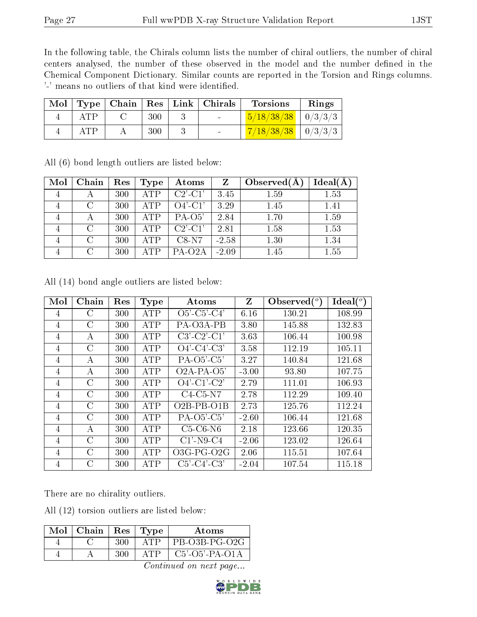In the following table, the Chirals column lists the number of chiral outliers, the number of chiral centers analysed, the number of these observed in the model and the number defined in the Chemical Component Dictionary. Similar counts are reported in the Torsion and Rings columns. '-' means no outliers of that kind were identified.

| Mol |     |     | Type   Chain   Res   Link   Chirals | <b>Torsions</b>                | Rings |
|-----|-----|-----|-------------------------------------|--------------------------------|-------|
|     |     | 300 |                                     | $\frac{5}{18/38/38}$   0/3/3/3 |       |
|     | ATP | 300 |                                     | $7/18/38/38$   0/3/3/3         |       |

| Mol | Chain  | Res | Type       | Atoms               | $Z_{\rm}$ | Observed $(A)$ | $Ideal(\AA)$ |
|-----|--------|-----|------------|---------------------|-----------|----------------|--------------|
|     |        | 300 | <b>ATP</b> | $C2'$ - $C1'$       | 3.45      | 1.59           | 1.53         |
|     | $\cap$ | 300 | <b>ATP</b> | $O4'$ -C1'          | 3.29      | 1.45           | 1.41         |
|     |        | 300 | ATP        | $PA-O5'$            | 2.84      | 1.70           | 1.59         |
|     | $\cap$ | 300 | <b>ATP</b> | $C2'$ -C1'          | 2.81      | 1.58           | 1.53         |
|     | $\cap$ | 300 | <b>ATP</b> | $C8-N7$             | $-2.58$   | 1.30           | 1.34         |
|     | $\cap$ | 300 | ATP        | PA-O <sub>2</sub> A | $-2.09$   | 1.45           | 1.55         |

All (6) bond length outliers are listed below:

|  |  |  |  | All (14) bond angle outliers are listed below: |  |  |  |
|--|--|--|--|------------------------------------------------|--|--|--|
|--|--|--|--|------------------------------------------------|--|--|--|

| Mol | Chain         | Res | <b>Type</b> | Atoms                 | Z       | Observed $(°)$ | $Ideal(^o)$ |
|-----|---------------|-----|-------------|-----------------------|---------|----------------|-------------|
| 4   | С             | 300 | <b>ATP</b>  | $O5'$ -C5'-C4'        | 6.16    | 130.21         | 108.99      |
| 4   | $\mathcal{C}$ | 300 | <b>ATP</b>  | PA-O3A-PB             | 3.80    | 145.88         | 132.83      |
| 4   | А             | 300 | <b>ATP</b>  | $C3'$ - $C2'$ - $C1'$ | 3.63    | 106.44         | 100.98      |
| 4   | $\mathcal{C}$ | 300 | <b>ATP</b>  | $O4'$ -C4'-C3'        | 3.58    | 112.19         | 105.11      |
| 4   | А             | 300 | <b>ATP</b>  | $PA-O5'-C5'$          | 3.27    | 140.84         | 121.68      |
| 4   | А             | 300 | <b>ATP</b>  | $O2A-PA-O5'$          | $-3.00$ | 93.80          | 107.75      |
| 4   | $\rm C$       | 300 | <b>ATP</b>  | $O4'$ -C1'-C2'        | 2.79    | 111.01         | 106.93      |
| 4   | $\mathcal{C}$ | 300 | <b>ATP</b>  | $C4-C5-N7$            | 2.78    | 112.29         | 109.40      |
| 4   | $\rm C$       | 300 | <b>ATP</b>  | $O2B$ -PB- $O1B$      | 2.73    | 125.76         | 112.24      |
| 4   | $\mathcal{C}$ | 300 | <b>ATP</b>  | $PA-O5'-C5'$          | $-2.60$ | 106.44         | 121.68      |
| 4   | А             | 300 | <b>ATP</b>  | $C5-C6-N6$            | 2.18    | 123.66         | 120.35      |
| 4   | $\mathcal{C}$ | 300 | <b>ATP</b>  | $C1'$ -N9-C4          | $-2.06$ | 123.02         | 126.64      |
| 4   | $\mathcal{C}$ | 300 | <b>ATP</b>  | $O3G$ -PG- $O2G$      | 2.06    | 115.51         | 107.64      |
| 4   | $\mathcal{C}$ | 300 | ATP         | $C5'$ - $C4'$ - $C3'$ | $-2.04$ | 107.54         | 115.18      |

There are no chirality outliers.

All (12) torsion outliers are listed below:

| Mol | Chain | $\operatorname{Res}$ | Type  | Atoms             |
|-----|-------|----------------------|-------|-------------------|
|     |       | 300                  | A'I'P | PB-O3B-PG-O2G     |
|     |       | 300                  | Δ' ΓΡ | $C5'$ -O5'-PA-O1A |

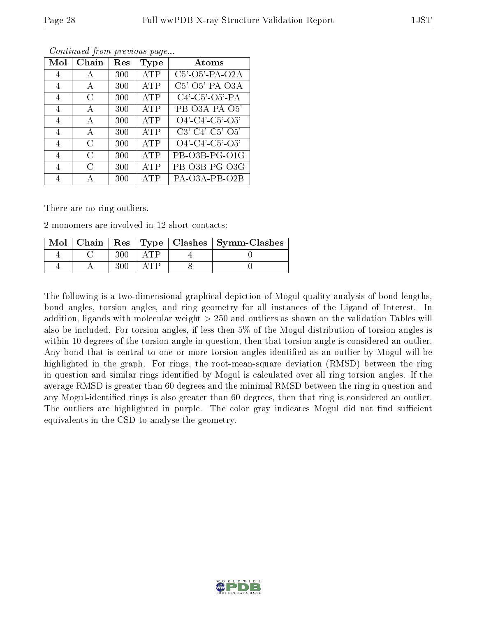| $\operatorname{Mol}$ | Chain | Res | Type       | Atoms                         |
|----------------------|-------|-----|------------|-------------------------------|
| 4                    | A     | 300 | <b>ATP</b> | $C5'$ -O5'-PA-O2A             |
| 4                    | А     | 300 | <b>ATP</b> | C5'-O5'-PA-O3A                |
| 4                    | G     | 300 | ATP        | $C4'$ - $C5'$ - $O5'$ - $PA$  |
| 4                    | A     | 300 | <b>ATP</b> | PB-O3A-PA-O5'                 |
| 4                    | А     | 300 | ATP        | $O4'$ - $C4'$ - $C5'$ - $O5'$ |
| 4                    | А     | 300 | <b>ATP</b> | $C3'$ - $C4'$ - $C5'$ - $O5'$ |
| 4                    | C     | 300 | <b>ATP</b> | $O4'$ - $C4'$ - $C5'$ - $O5'$ |
| 4                    | C     | 300 | <b>ATP</b> | PB-O3B-PG-O1G                 |
| 4                    | C     | 300 | <b>ATP</b> | PB-O3B-PG-O3G                 |
|                      |       | 300 | <b>ATP</b> | PA-O3A-PB-O2B                 |

There are no ring outliers.

2 monomers are involved in 12 short contacts:

| Mol |  |  | Chain   Res   Type   Clashes   Symm-Clashes |
|-----|--|--|---------------------------------------------|
|     |  |  |                                             |
|     |  |  |                                             |

The following is a two-dimensional graphical depiction of Mogul quality analysis of bond lengths, bond angles, torsion angles, and ring geometry for all instances of the Ligand of Interest. In addition, ligands with molecular weight > 250 and outliers as shown on the validation Tables will also be included. For torsion angles, if less then 5% of the Mogul distribution of torsion angles is within 10 degrees of the torsion angle in question, then that torsion angle is considered an outlier. Any bond that is central to one or more torsion angles identified as an outlier by Mogul will be highlighted in the graph. For rings, the root-mean-square deviation (RMSD) between the ring in question and similar rings identified by Mogul is calculated over all ring torsion angles. If the average RMSD is greater than 60 degrees and the minimal RMSD between the ring in question and any Mogul-identified rings is also greater than 60 degrees, then that ring is considered an outlier. The outliers are highlighted in purple. The color gray indicates Mogul did not find sufficient equivalents in the CSD to analyse the geometry.

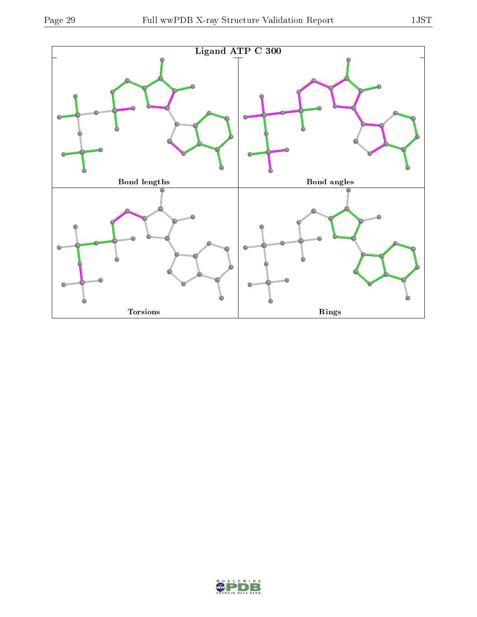



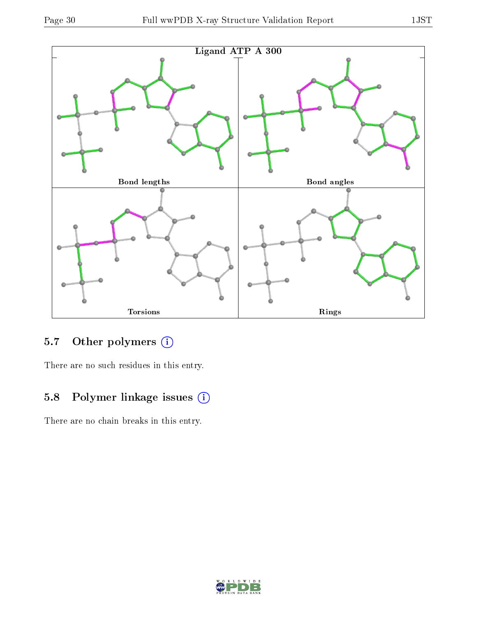



## 5.7 [O](https://www.wwpdb.org/validation/2017/XrayValidationReportHelp#nonstandard_residues_and_ligands)ther polymers (i)

There are no such residues in this entry.

### 5.8 Polymer linkage issues (i)

There are no chain breaks in this entry.